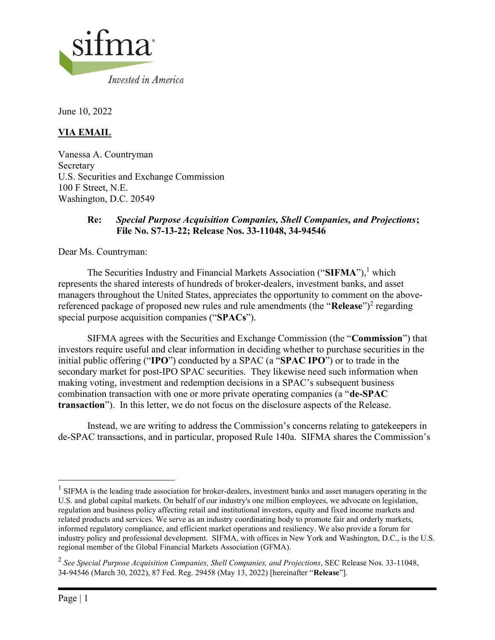

June 10, 2022

# VIA EMAIL

Vanessa A. Countryman Secretary U.S. Securities and Exchange Commission 100 F Street, N.E. Washington, D.C. 20549

#### Re: Special Purpose Acquisition Companies, Shell Companies, and Projections; File No. S7-13-22; Release Nos. 33-11048, 34-94546

Dear Ms. Countryman:

The Securities Industry and Financial Markets Association ("SIFMA"),<sup>1</sup> which represents the shared interests of hundreds of broker-dealers, investment banks, and asset managers throughout the United States, appreciates the opportunity to comment on the abovereferenced package of proposed new rules and rule amendments (the "Release")<sup>2</sup> regarding special purpose acquisition companies ("SPACs").

SIFMA agrees with the Securities and Exchange Commission (the "Commission") that investors require useful and clear information in deciding whether to purchase securities in the initial public offering ("IPO") conducted by a SPAC (a "SPAC IPO") or to trade in the secondary market for post-IPO SPAC securities. They likewise need such information when making voting, investment and redemption decisions in a SPAC's subsequent business combination transaction with one or more private operating companies (a "de-SPAC transaction"). In this letter, we do not focus on the disclosure aspects of the Release.

Instead, we are writing to address the Commission's concerns relating to gatekeepers in de-SPAC transactions, and in particular, proposed Rule 140a. SIFMA shares the Commission's

 $<sup>1</sup>$  SIFMA is the leading trade association for broker-dealers, investment banks and asset managers operating in the</sup> U.S. and global capital markets. On behalf of our industry's one million employees, we advocate on legislation, regulation and business policy affecting retail and institutional investors, equity and fixed income markets and related products and services. We serve as an industry coordinating body to promote fair and orderly markets, informed regulatory compliance, and efficient market operations and resiliency. We also provide a forum for industry policy and professional development. SIFMA, with offices in New York and Washington, D.C., is the U.S. regional member of the Global Financial Markets Association (GFMA).

<sup>&</sup>lt;sup>2</sup> See Special Purpose Acquisition Companies, Shell Companies, and Projections, SEC Release Nos. 33-11048, 34-94546 (March 30, 2022), 87 Fed. Reg. 29458 (May 13, 2022) [hereinafter "Release"].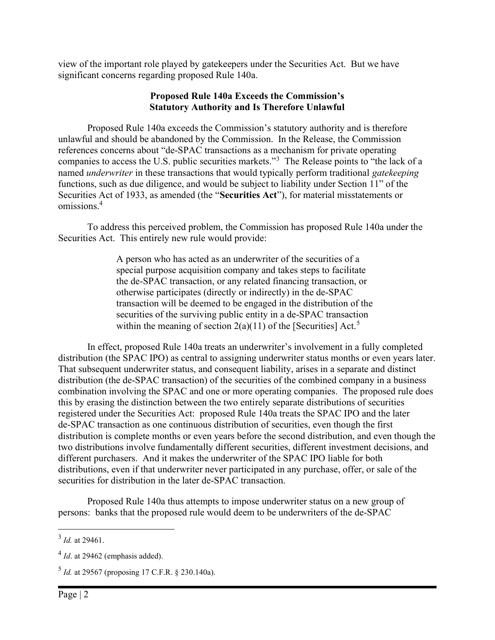view of the important role played by gatekeepers under the Securities Act. But we have significant concerns regarding proposed Rule 140a.

#### Proposed Rule 140a Exceeds the Commission's Statutory Authority and Is Therefore Unlawful

Proposed Rule 140a exceeds the Commission's statutory authority and is therefore unlawful and should be abandoned by the Commission. In the Release, the Commission references concerns about "de-SPAC transactions as a mechanism for private operating companies to access the U.S. public securities markets."<sup>3</sup> The Release points to "the lack of a named *underwriter* in these transactions that would typically perform traditional gatekeeping functions, such as due diligence, and would be subject to liability under Section 11" of the Securities Act of 1933, as amended (the "Securities Act"), for material misstatements or omissions.<sup>4</sup>

To address this perceived problem, the Commission has proposed Rule 140a under the Securities Act. This entirely new rule would provide:

> A person who has acted as an underwriter of the securities of a special purpose acquisition company and takes steps to facilitate the de-SPAC transaction, or any related financing transaction, or otherwise participates (directly or indirectly) in the de-SPAC transaction will be deemed to be engaged in the distribution of the securities of the surviving public entity in a de-SPAC transaction within the meaning of section  $2(a)(11)$  of the [Securities] Act.<sup>5</sup>

In effect, proposed Rule 140a treats an underwriter's involvement in a fully completed distribution (the SPAC IPO) as central to assigning underwriter status months or even years later. That subsequent underwriter status, and consequent liability, arises in a separate and distinct distribution (the de-SPAC transaction) of the securities of the combined company in a business combination involving the SPAC and one or more operating companies. The proposed rule does this by erasing the distinction between the two entirely separate distributions of securities registered under the Securities Act: proposed Rule 140a treats the SPAC IPO and the later de-SPAC transaction as one continuous distribution of securities, even though the first distribution is complete months or even years before the second distribution, and even though the two distributions involve fundamentally different securities, different investment decisions, and different purchasers. And it makes the underwriter of the SPAC IPO liable for both distributions, even if that underwriter never participated in any purchase, offer, or sale of the securities for distribution in the later de-SPAC transaction.

Proposed Rule 140a thus attempts to impose underwriter status on a new group of persons: banks that the proposed rule would deem to be underwriters of the de-SPAC

 $3$  *Id.* at 29461.

 $4$  *Id.* at 29462 (emphasis added).

 $5$  *Id.* at 29567 (proposing 17 C.F.R. § 230.140a).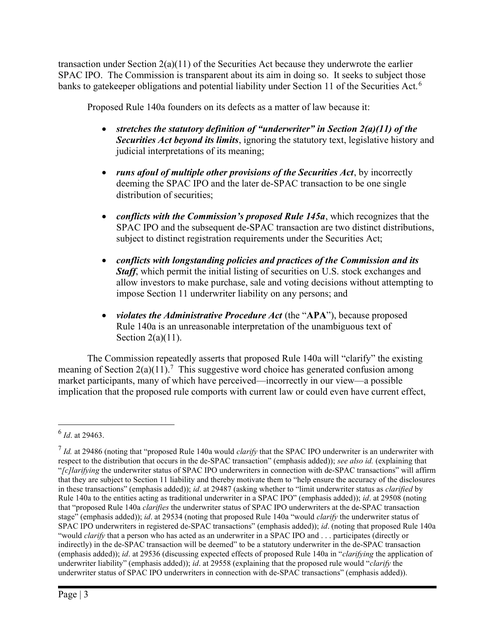transaction under Section  $2(a)(11)$  of the Securities Act because they underwrote the earlier SPAC IPO. The Commission is transparent about its aim in doing so. It seeks to subject those banks to gatekeeper obligations and potential liability under Section 11 of the Securities Act.<sup>6</sup>

Proposed Rule 140a founders on its defects as a matter of law because it:

- stretches the statutory definition of "underwriter" in Section  $2(a)(11)$  of the Securities Act beyond its limits, ignoring the statutory text, legislative history and judicial interpretations of its meaning;
- $\bullet$  runs afoul of multiple other provisions of the Securities Act, by incorrectly deeming the SPAC IPO and the later de-SPAC transaction to be one single distribution of securities;
- conflicts with the Commission's proposed Rule  $145a$ , which recognizes that the SPAC IPO and the subsequent de-SPAC transaction are two distinct distributions, subject to distinct registration requirements under the Securities Act;
- conflicts with longstanding policies and practices of the Commission and its **Staff**, which permit the initial listing of securities on U.S. stock exchanges and allow investors to make purchase, sale and voting decisions without attempting to impose Section 11 underwriter liability on any persons; and
- violates the Administrative Procedure Act (the "APA"), because proposed Rule 140a is an unreasonable interpretation of the unambiguous text of Section  $2(a)(11)$ .

The Commission repeatedly asserts that proposed Rule 140a will "clarify" the existing meaning of Section  $2(a)(11)$ .<sup>7</sup> This suggestive word choice has generated confusion among market participants, many of which have perceived—incorrectly in our view—a possible implication that the proposed rule comports with current law or could even have current effect,

 $^6$  *Id.* at 29463.

 $<sup>7</sup>$  Id. at 29486 (noting that "proposed Rule 140a would *clarify* that the SPAC IPO underwriter is an underwriter with</sup> respect to the distribution that occurs in the de-SPAC transaction" (emphasis added)); see also id. (explaining that "[c]larifying the underwriter status of SPAC IPO underwriters in connection with de-SPAC transactions" will affirm that they are subject to Section 11 liability and thereby motivate them to "help ensure the accuracy of the disclosures in these transactions" (emphasis added)); id. at 29487 (asking whether to "limit underwriter status as *clarified* by Rule 140a to the entities acting as traditional underwriter in a SPAC IPO" (emphasis added)); id. at 29508 (noting that "proposed Rule 140a clarifies the underwriter status of SPAC IPO underwriters at the de-SPAC transaction stage" (emphasis added)); id. at 29534 (noting that proposed Rule 140a "would *clarify* the underwriter status of SPAC IPO underwriters in registered de-SPAC transactions" (emphasis added)); *id.* (noting that proposed Rule 140a "would clarify that a person who has acted as an underwriter in a SPAC IPO and . . . participates (directly or indirectly) in the de-SPAC transaction will be deemed" to be a statutory underwriter in the de-SPAC transaction (emphasis added)); id. at 29536 (discussing expected effects of proposed Rule 140a in "clarifying the application of underwriter liability" (emphasis added)); id. at 29558 (explaining that the proposed rule would "clarify the underwriter status of SPAC IPO underwriters in connection with de-SPAC transactions" (emphasis added)).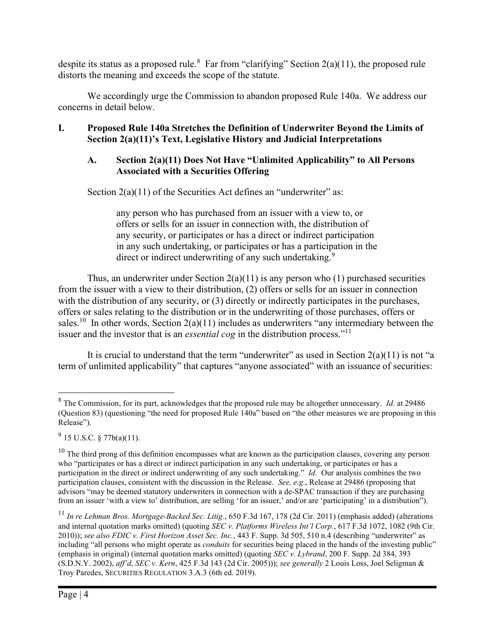despite its status as a proposed rule.<sup>8</sup> Far from "clarifying" Section  $2(a)(11)$ , the proposed rule distorts the meaning and exceeds the scope of the statute.

We accordingly urge the Commission to abandon proposed Rule 140a. We address our concerns in detail below.

## I. Proposed Rule 140a Stretches the Definition of Underwriter Beyond the Limits of Section 2(a)(11)'s Text, Legislative History and Judicial Interpretations

## A. Section 2(a)(11) Does Not Have "Unlimited Applicability" to All Persons Associated with a Securities Offering

Section 2(a)(11) of the Securities Act defines an "underwriter" as:

any person who has purchased from an issuer with a view to, or offers or sells for an issuer in connection with, the distribution of any security, or participates or has a direct or indirect participation in any such undertaking, or participates or has a participation in the direct or indirect underwriting of any such undertaking.<sup>9</sup>

Thus, an underwriter under Section  $2(a)(11)$  is any person who  $(1)$  purchased securities from the issuer with a view to their distribution, (2) offers or sells for an issuer in connection with the distribution of any security, or (3) directly or indirectly participates in the purchases, offers or sales relating to the distribution or in the underwriting of those purchases, offers or sales.<sup>10</sup> In other words, Section  $2(a)(11)$  includes as underwriters "any intermediary between the issuer and the investor that is an *essential cog* in the distribution process."<sup>11</sup>

It is crucial to understand that the term "underwriter" as used in Section  $2(a)(11)$  is not "a term of unlimited applicability" that captures "anyone associated" with an issuance of securities:

 $8$  The Commission, for its part, acknowledges that the proposed rule may be altogether unnecessary. *Id.* at 29486 (Question 83) (questioning "the need for proposed Rule 140a" based on "the other measures we are proposing in this Release").

 $^{9}$  15 U.S.C. § 77b(a)(11).

 $10$  The third prong of this definition encompasses what are known as the participation clauses, covering any person who "participates or has a direct or indirect participation in any such undertaking, or participates or has a participation in the direct or indirect underwriting of any such undertaking." Id. Our analysis combines the two participation clauses, consistent with the discussion in the Release. See, e.g., Release at 29486 (proposing that advisors "may be deemed statutory underwriters in connection with a de-SPAC transaction if they are purchasing from an issuer 'with a view to' distribution, are selling 'for an issuer,' and/or are 'participating' in a distribution").

 $^{11}$  In re Lehman Bros. Mortgage-Backed Sec. Litig., 650 F.3d 167, 178 (2d Cir. 2011) (emphasis added) (alterations and internal quotation marks omitted) (quoting SEC v. Platforms Wireless Int'l Corp., 617 F.3d 1072, 1082 (9th Cir. 2010)); see also FDIC v. First Horizon Asset Sec. Inc., 443 F. Supp. 3d 505, 510 n.4 (describing "underwriter" as including "all persons who might operate as *conduits* for securities being placed in the hands of the investing public" (emphasis in original) (internal quotation marks omitted) (quoting SEC v. Lybrand, 200 F. Supp. 2d 384, 393  $(S.D.N.Y. 2002)$ , aff'd, SEC v. Kern, 425 F.3d 143 (2d Cir. 2005))); see generally 2 Louis Loss, Joel Seligman & Troy Paredes, SECURITIES REGULATION 3.A.3 (6th ed. 2019).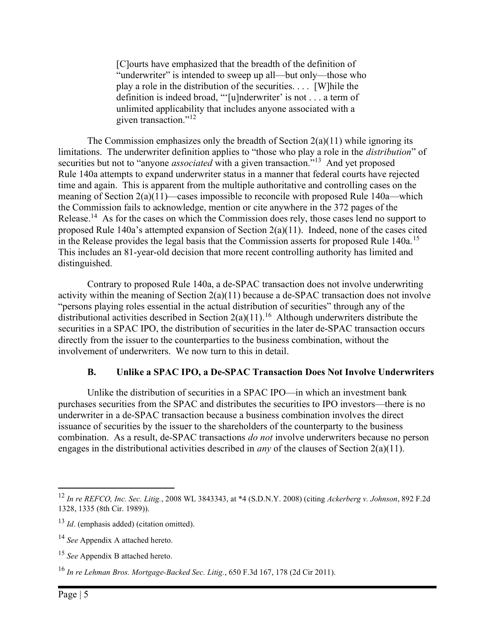[C]ourts have emphasized that the breadth of the definition of "underwriter" is intended to sweep up all—but only—those who play a role in the distribution of the securities. . . . [W]hile the definition is indeed broad, "'[u]nderwriter' is not . . . a term of unlimited applicability that includes anyone associated with a given transaction."<sup>12</sup>

The Commission emphasizes only the breadth of Section  $2(a)(11)$  while ignoring its limitations. The underwriter definition applies to "those who play a role in the distribution" of securities but not to "anyone *associated* with a given transaction."<sup>13</sup> And yet proposed Rule 140a attempts to expand underwriter status in a manner that federal courts have rejected time and again. This is apparent from the multiple authoritative and controlling cases on the meaning of Section 2(a)(11)—cases impossible to reconcile with proposed Rule 140a—which the Commission fails to acknowledge, mention or cite anywhere in the 372 pages of the Release.<sup>14</sup> As for the cases on which the Commission does rely, those cases lend no support to proposed Rule 140a's attempted expansion of Section 2(a)(11). Indeed, none of the cases cited in the Release provides the legal basis that the Commission asserts for proposed Rule 140a.<sup>15</sup> This includes an 81-year-old decision that more recent controlling authority has limited and distinguished.

Contrary to proposed Rule 140a, a de-SPAC transaction does not involve underwriting activity within the meaning of Section  $2(a)(11)$  because a de-SPAC transaction does not involve "persons playing roles essential in the actual distribution of securities" through any of the distributional activities described in Section  $2(a)(11)$ .<sup>16</sup> Although underwriters distribute the securities in a SPAC IPO, the distribution of securities in the later de-SPAC transaction occurs directly from the issuer to the counterparties to the business combination, without the involvement of underwriters. We now turn to this in detail.

#### B. Unlike a SPAC IPO, a De-SPAC Transaction Does Not Involve Underwriters

Unlike the distribution of securities in a SPAC IPO—in which an investment bank purchases securities from the SPAC and distributes the securities to IPO investors—there is no underwriter in a de-SPAC transaction because a business combination involves the direct issuance of securities by the issuer to the shareholders of the counterparty to the business combination. As a result, de-SPAC transactions do not involve underwriters because no person engages in the distributional activities described in *any* of the clauses of Section 2(a)(11).

<sup>&</sup>lt;sup>12</sup> In re REFCO, Inc. Sec. Litig., 2008 WL 3843343, at \*4 (S.D.N.Y. 2008) (citing Ackerberg v. Johnson, 892 F.2d 1328, 1335 (8th Cir. 1989)).

 $13$  *Id.* (emphasis added) (citation omitted).

<sup>&</sup>lt;sup>14</sup> See Appendix A attached hereto.

<sup>&</sup>lt;sup>15</sup> See Appendix B attached hereto.

 $16$  In re Lehman Bros. Mortgage-Backed Sec. Litig., 650 F.3d 167, 178 (2d Cir 2011).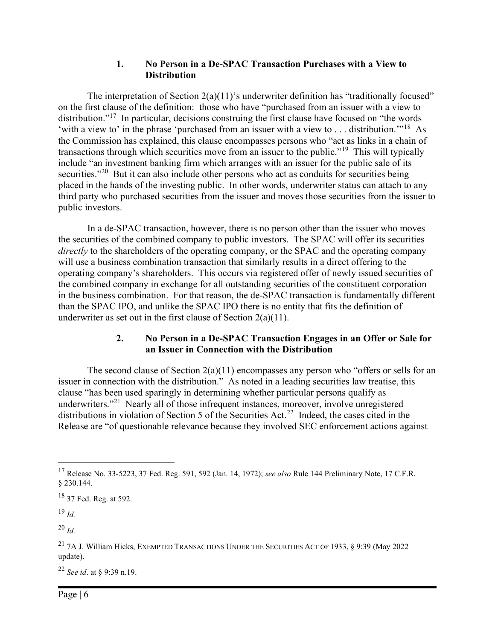#### 1. No Person in a De-SPAC Transaction Purchases with a View to **Distribution**

The interpretation of Section  $2(a)(11)$ 's underwriter definition has "traditionally focused" on the first clause of the definition: those who have "purchased from an issuer with a view to distribution."<sup>17</sup> In particular, decisions construing the first clause have focused on "the words" 'with a view to' in the phrase 'purchased from an issuer with a view to . . . distribution.'"<sup>18</sup> As the Commission has explained, this clause encompasses persons who "act as links in a chain of transactions through which securities move from an issuer to the public."<sup>19</sup> This will typically include "an investment banking firm which arranges with an issuer for the public sale of its securities."<sup>20</sup> But it can also include other persons who act as conduits for securities being placed in the hands of the investing public. In other words, underwriter status can attach to any third party who purchased securities from the issuer and moves those securities from the issuer to public investors.

In a de-SPAC transaction, however, there is no person other than the issuer who moves the securities of the combined company to public investors. The SPAC will offer its securities directly to the shareholders of the operating company, or the SPAC and the operating company will use a business combination transaction that similarly results in a direct offering to the operating company's shareholders. This occurs via registered offer of newly issued securities of the combined company in exchange for all outstanding securities of the constituent corporation in the business combination. For that reason, the de-SPAC transaction is fundamentally different than the SPAC IPO, and unlike the SPAC IPO there is no entity that fits the definition of underwriter as set out in the first clause of Section 2(a)(11).

#### 2. No Person in a De-SPAC Transaction Engages in an Offer or Sale for an Issuer in Connection with the Distribution

The second clause of Section  $2(a)(11)$  encompasses any person who "offers or sells for an issuer in connection with the distribution." As noted in a leading securities law treatise, this clause "has been used sparingly in determining whether particular persons qualify as underwriters."<sup>21</sup> Nearly all of those infrequent instances, moreover, involve unregistered distributions in violation of Section 5 of the Securities Act.<sup>22</sup> Indeed, the cases cited in the Release are "of questionable relevance because they involved SEC enforcement actions against

 $19$  Id.

 $^{20}$  Id.

<sup>22</sup> See id. at § 9:39 n.19.

<sup>&</sup>lt;sup>17</sup> Release No. 33-5223, 37 Fed. Reg. 591, 592 (Jan. 14, 1972); see also Rule 144 Preliminary Note, 17 C.F.R. § 230.144.

<sup>&</sup>lt;sup>18</sup> 37 Fed. Reg. at 592.

<sup>&</sup>lt;sup>21</sup> 7A J. William Hicks, EXEMPTED TRANSACTIONS UNDER THE SECURITIES ACT OF 1933, § 9:39 (May 2022) update).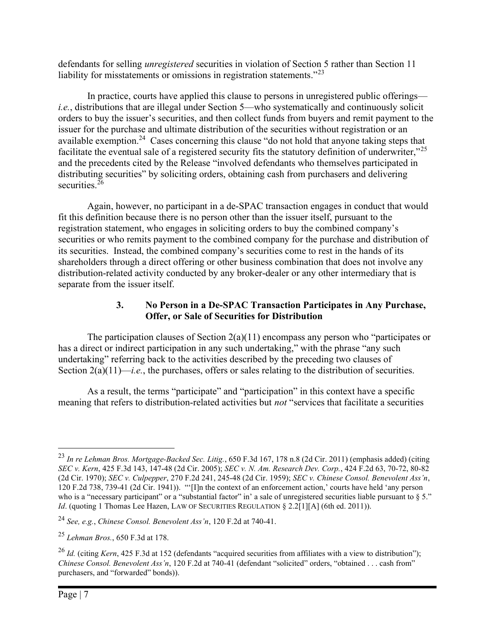defendants for selling unregistered securities in violation of Section 5 rather than Section 11 liability for misstatements or omissions in registration statements."<sup>23</sup>

In practice, courts have applied this clause to persons in unregistered public offerings i.e., distributions that are illegal under Section 5—who systematically and continuously solicit orders to buy the issuer's securities, and then collect funds from buyers and remit payment to the issuer for the purchase and ultimate distribution of the securities without registration or an available exemption.<sup>24</sup> Cases concerning this clause "do not hold that anyone taking steps that facilitate the eventual sale of a registered security fits the statutory definition of underwriter,"<sup>25</sup> and the precedents cited by the Release "involved defendants who themselves participated in distributing securities" by soliciting orders, obtaining cash from purchasers and delivering securities.<sup>26</sup>

Again, however, no participant in a de-SPAC transaction engages in conduct that would fit this definition because there is no person other than the issuer itself, pursuant to the registration statement, who engages in soliciting orders to buy the combined company's securities or who remits payment to the combined company for the purchase and distribution of its securities. Instead, the combined company's securities come to rest in the hands of its shareholders through a direct offering or other business combination that does not involve any distribution-related activity conducted by any broker-dealer or any other intermediary that is separate from the issuer itself.

## 3. No Person in a De-SPAC Transaction Participates in Any Purchase, Offer, or Sale of Securities for Distribution

The participation clauses of Section 2(a)(11) encompass any person who "participates or has a direct or indirect participation in any such undertaking," with the phrase "any such undertaking" referring back to the activities described by the preceding two clauses of Section  $2(a)(11)$ —*i.e.*, the purchases, offers or sales relating to the distribution of securities.

As a result, the terms "participate" and "participation" in this context have a specific meaning that refers to distribution-related activities but *not* "services that facilitate a securities

<sup>&</sup>lt;sup>23</sup> In re Lehman Bros. Mortgage-Backed Sec. Litig., 650 F.3d 167, 178 n.8 (2d Cir. 2011) (emphasis added) (citing SEC v. Kern, 425 F.3d 143, 147-48 (2d Cir. 2005); SEC v. N. Am. Research Dev. Corp., 424 F.2d 63, 70-72, 80-82 (2d Cir. 1970); SEC v. Culpepper, 270 F.2d 241, 245-48 (2d Cir. 1959); SEC v. Chinese Consol. Benevolent Ass'n, 120 F.2d 738, 739-41 (2d Cir. 1941)). "'[I]n the context of an enforcement action,' courts have held 'any person who is a "necessary participant" or a "substantial factor" in' a sale of unregistered securities liable pursuant to  $\S 5$ ." Id. (quoting 1 Thomas Lee Hazen, LAW OF SECURITIES REGULATION § 2.2[1][A] (6th ed. 2011)).

<sup>&</sup>lt;sup>24</sup> See, e.g., Chinese Consol. Benevolent Ass'n, 120 F.2d at 740-41.

 $25$  Lehman Bros., 650 F.3d at 178.

 $^{26}$  *Id.* (citing *Kern*, 425 F.3d at 152 (defendants "acquired securities from affiliates with a view to distribution"); Chinese Consol. Benevolent Ass'n, 120 F.2d at 740-41 (defendant "solicited" orders, "obtained . . . cash from" purchasers, and "forwarded" bonds)).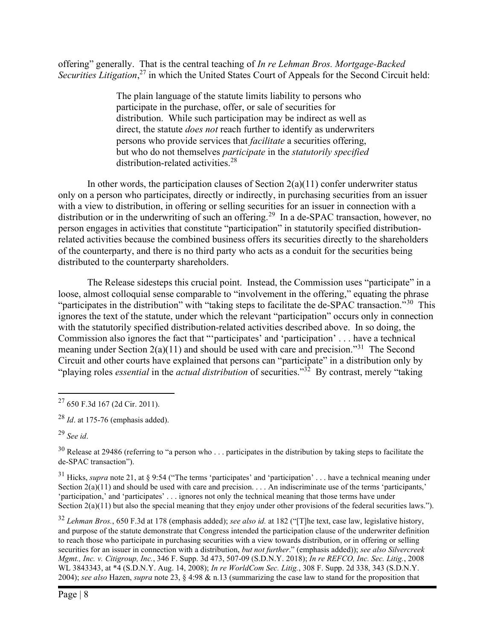offering" generally. That is the central teaching of In re Lehman Bros. Mortgage-Backed Securities Litigation,<sup>27</sup> in which the United States Court of Appeals for the Second Circuit held:

> The plain language of the statute limits liability to persons who participate in the purchase, offer, or sale of securities for distribution. While such participation may be indirect as well as direct, the statute *does not* reach further to identify as underwriters persons who provide services that facilitate a securities offering, but who do not themselves participate in the statutorily specified distribution-related activities.<sup>28</sup>

In other words, the participation clauses of Section  $2(a)(11)$  confer underwriter status only on a person who participates, directly or indirectly, in purchasing securities from an issuer with a view to distribution, in offering or selling securities for an issuer in connection with a distribution or in the underwriting of such an offering.<sup>29</sup> In a de-SPAC transaction, however, no person engages in activities that constitute "participation" in statutorily specified distributionrelated activities because the combined business offers its securities directly to the shareholders of the counterparty, and there is no third party who acts as a conduit for the securities being distributed to the counterparty shareholders.

The Release sidesteps this crucial point. Instead, the Commission uses "participate" in a loose, almost colloquial sense comparable to "involvement in the offering," equating the phrase "participates in the distribution" with "taking steps to facilitate the de-SPAC transaction."<sup>30</sup> This ignores the text of the statute, under which the relevant "participation" occurs only in connection with the statutorily specified distribution-related activities described above. In so doing, the Commission also ignores the fact that "'participates' and 'participation' . . . have a technical meaning under Section  $2(a)(11)$  and should be used with care and precision.<sup>31</sup> The Second Circuit and other courts have explained that persons can "participate" in a distribution only by "playing roles *essential* in the *actual distribution* of securities."<sup>32</sup> By contrast, merely "taking"

 $32$  Lehman Bros., 650 F.3d at 178 (emphasis added); see also id. at 182 ("[T]he text, case law, legislative history, and purpose of the statute demonstrate that Congress intended the participation clause of the underwriter definition to reach those who participate in purchasing securities with a view towards distribution, or in offering or selling securities for an issuer in connection with a distribution, but not further." (emphasis added)); see also Silvercreek Mgmt., Inc. v. Citigroup, Inc., 346 F. Supp. 3d 473, 507-09 (S.D.N.Y. 2018); In re REFCO, Inc. Sec. Litig., 2008 WL 3843343, at \*4 (S.D.N.Y. Aug. 14, 2008); In re WorldCom Sec. Litig., 308 F. Supp. 2d 338, 343 (S.D.N.Y. 2004); see also Hazen, supra note 23, § 4:98 & n.13 (summarizing the case law to stand for the proposition that

<sup>27</sup> 650 F.3d 167 (2d Cir. 2011).

 $^{28}$  *Id.* at 175-76 (emphasis added).

 $29$  See id.

 $30$  Release at 29486 (referring to "a person who ... participates in the distribution by taking steps to facilitate the de-SPAC transaction").

 $31$  Hicks, *supra* note 21, at § 9:54 ("The terms 'participates' and 'participation' . . . have a technical meaning under Section  $2(a)(11)$  and should be used with care and precision.  $\dots$  An indiscriminate use of the terms 'participants,' 'participation,' and 'participates' . . . ignores not only the technical meaning that those terms have under Section  $2(a)(11)$  but also the special meaning that they enjoy under other provisions of the federal securities laws.").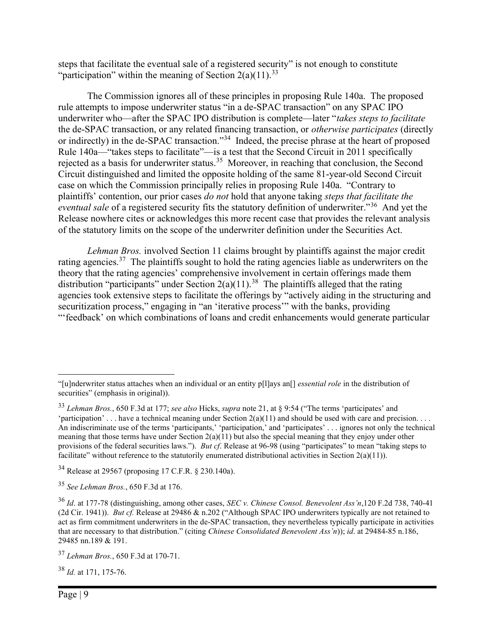steps that facilitate the eventual sale of a registered security" is not enough to constitute "participation" within the meaning of Section  $2(a)(11).^{33}$ 

The Commission ignores all of these principles in proposing Rule 140a. The proposed rule attempts to impose underwriter status "in a de-SPAC transaction" on any SPAC IPO underwriter who—after the SPAC IPO distribution is complete—later "takes steps to facilitate the de-SPAC transaction, or any related financing transaction, or otherwise participates (directly or indirectly) in the de-SPAC transaction."<sup>34</sup> Indeed, the precise phrase at the heart of proposed Rule 140a—"takes steps to facilitate"—is a test that the Second Circuit in 2011 specifically rejected as a basis for underwriter status.<sup>35</sup> Moreover, in reaching that conclusion, the Second Circuit distinguished and limited the opposite holding of the same 81-year-old Second Circuit case on which the Commission principally relies in proposing Rule 140a. "Contrary to plaintiffs' contention, our prior cases do not hold that anyone taking steps that facilitate the eventual sale of a registered security fits the statutory definition of underwriter."<sup>36</sup> And yet the Release nowhere cites or acknowledges this more recent case that provides the relevant analysis of the statutory limits on the scope of the underwriter definition under the Securities Act.

Lehman Bros. involved Section 11 claims brought by plaintiffs against the major credit rating agencies.<sup>37</sup> The plaintiffs sought to hold the rating agencies liable as underwriters on the theory that the rating agencies' comprehensive involvement in certain offerings made them distribution "participants" under Section 2(a)(11).<sup>38</sup> The plaintiffs alleged that the rating agencies took extensive steps to facilitate the offerings by "actively aiding in the structuring and securitization process," engaging in "an 'iterative process" with the banks, providing "'feedback' on which combinations of loans and credit enhancements would generate particular

 $38$  *Id.* at 171, 175-76.

<sup>&</sup>quot;[u]nderwriter status attaches when an individual or an entity p[l]ays an<sup>[]</sup> *essential role* in the distribution of securities" (emphasis in original)).

 $33$  Lehman Bros., 650 F.3d at 177; see also Hicks, supra note 21, at § 9:54 ("The terms 'participates' and 'participation' . . . have a technical meaning under Section  $2(a)(11)$  and should be used with care and precision. . . . An indiscriminate use of the terms 'participants,' 'participation,' and 'participates' . . . ignores not only the technical meaning that those terms have under Section  $2(a)(11)$  but also the special meaning that they enjoy under other provisions of the federal securities laws."). But cf. Release at 96-98 (using "participates" to mean "taking steps to facilitate" without reference to the statutorily enumerated distributional activities in Section 2(a)(11)).

<sup>34</sup> Release at 29567 (proposing 17 C.F.R. § 230.140a).

 $35$  See Lehman Bros., 650 F.3d at 176.

 $36$  Id. at 177-78 (distinguishing, among other cases, SEC v. Chinese Consol. Benevolent Ass'n,120 F.2d 738, 740-41 (2d Cir. 1941)). But cf. Release at 29486 & n.202 ("Although SPAC IPO underwriters typically are not retained to act as firm commitment underwriters in the de-SPAC transaction, they nevertheless typically participate in activities that are necessary to that distribution." (citing Chinese Consolidated Benevolent Ass'n)); id. at 29484-85 n.186, 29485 nn.189 & 191.

<sup>37</sup> Lehman Bros., 650 F.3d at 170-71.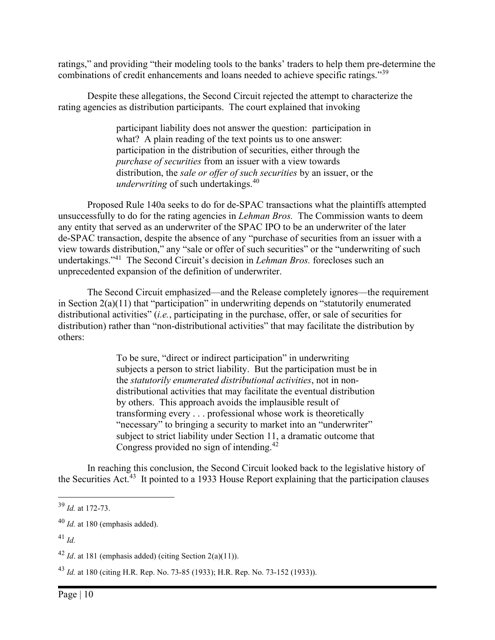ratings," and providing "their modeling tools to the banks' traders to help them pre-determine the combinations of credit enhancements and loans needed to achieve specific ratings."<sup>39</sup>

Despite these allegations, the Second Circuit rejected the attempt to characterize the rating agencies as distribution participants. The court explained that invoking

> participant liability does not answer the question: participation in what? A plain reading of the text points us to one answer: participation in the distribution of securities, either through the purchase of securities from an issuer with a view towards distribution, the *sale or offer of such securities* by an issuer, or the underwriting of such undertakings. $40$

Proposed Rule 140a seeks to do for de-SPAC transactions what the plaintiffs attempted unsuccessfully to do for the rating agencies in *Lehman Bros.* The Commission wants to deem any entity that served as an underwriter of the SPAC IPO to be an underwriter of the later de-SPAC transaction, despite the absence of any "purchase of securities from an issuer with a view towards distribution," any "sale or offer of such securities" or the "underwriting of such undertakings."<sup>41</sup> The Second Circuit's decision in *Lehman Bros*. forecloses such an unprecedented expansion of the definition of underwriter.

The Second Circuit emphasized—and the Release completely ignores—the requirement in Section  $2(a)(11)$  that "participation" in underwriting depends on "statutorily enumerated distributional activities" (*i.e.*, participating in the purchase, offer, or sale of securities for distribution) rather than "non-distributional activities" that may facilitate the distribution by others:

> To be sure, "direct or indirect participation" in underwriting subjects a person to strict liability. But the participation must be in the statutorily enumerated distributional activities, not in nondistributional activities that may facilitate the eventual distribution by others. This approach avoids the implausible result of transforming every . . . professional whose work is theoretically "necessary" to bringing a security to market into an "underwriter" subject to strict liability under Section 11, a dramatic outcome that Congress provided no sign of intending.<sup>42</sup>

In reaching this conclusion, the Second Circuit looked back to the legislative history of the Securities Act.<sup>43</sup> It pointed to a 1933 House Report explaining that the participation clauses

 $^{41}$  Id.

 $39$  *Id.* at 172-73.

 $^{40}$  *Id.* at 180 (emphasis added).

 $42$  *Id.* at 181 (emphasis added) (citing Section 2(a)(11)).

<sup>43</sup> Id. at 180 (citing H.R. Rep. No. 73-85 (1933); H.R. Rep. No. 73-152 (1933)).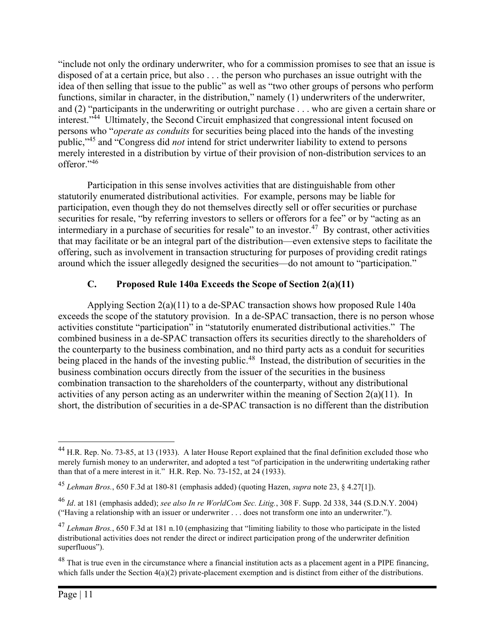"include not only the ordinary underwriter, who for a commission promises to see that an issue is disposed of at a certain price, but also . . . the person who purchases an issue outright with the idea of then selling that issue to the public" as well as "two other groups of persons who perform functions, similar in character, in the distribution," namely (1) underwriters of the underwriter, and (2) "participants in the underwriting or outright purchase . . . who are given a certain share or interest."<sup>44</sup> Ultimately, the Second Circuit emphasized that congressional intent focused on persons who "operate as conduits for securities being placed into the hands of the investing public,"<sup>45</sup> and "Congress did *not* intend for strict underwriter liability to extend to persons merely interested in a distribution by virtue of their provision of non-distribution services to an offeror."<sup>46</sup>

Participation in this sense involves activities that are distinguishable from other statutorily enumerated distributional activities. For example, persons may be liable for participation, even though they do not themselves directly sell or offer securities or purchase securities for resale, "by referring investors to sellers or offerors for a fee" or by "acting as an intermediary in a purchase of securities for resale" to an investor.<sup>47</sup> By contrast, other activities that may facilitate or be an integral part of the distribution—even extensive steps to facilitate the offering, such as involvement in transaction structuring for purposes of providing credit ratings around which the issuer allegedly designed the securities—do not amount to "participation."

## C. Proposed Rule 140a Exceeds the Scope of Section 2(a)(11)

Applying Section 2(a)(11) to a de-SPAC transaction shows how proposed Rule 140a exceeds the scope of the statutory provision. In a de-SPAC transaction, there is no person whose activities constitute "participation" in "statutorily enumerated distributional activities." The combined business in a de-SPAC transaction offers its securities directly to the shareholders of the counterparty to the business combination, and no third party acts as a conduit for securities being placed in the hands of the investing public.<sup>48</sup> Instead, the distribution of securities in the business combination occurs directly from the issuer of the securities in the business combination transaction to the shareholders of the counterparty, without any distributional activities of any person acting as an underwriter within the meaning of Section  $2(a)(11)$ . In short, the distribution of securities in a de-SPAC transaction is no different than the distribution

<sup>&</sup>lt;sup>44</sup> H.R. Rep. No. 73-85, at 13 (1933). A later House Report explained that the final definition excluded those who merely furnish money to an underwriter, and adopted a test "of participation in the underwriting undertaking rather than that of a mere interest in it." H.R. Rep. No. 73-152, at 24 (1933).

<sup>&</sup>lt;sup>45</sup> Lehman Bros., 650 F.3d at 180-81 (emphasis added) (quoting Hazen, *supra* note 23, § 4.27[1]).

 $^{46}$  Id. at 181 (emphasis added); see also In re WorldCom Sec. Litig., 308 F. Supp. 2d 338, 344 (S.D.N.Y. 2004) ("Having a relationship with an issuer or underwriter . . . does not transform one into an underwriter.").

 $^{47}$  Lehman Bros., 650 F.3d at 181 n.10 (emphasizing that "limiting liability to those who participate in the listed distributional activities does not render the direct or indirect participation prong of the underwriter definition superfluous").

 $48$  That is true even in the circumstance where a financial institution acts as a placement agent in a PIPE financing, which falls under the Section  $4(a)(2)$  private-placement exemption and is distinct from either of the distributions.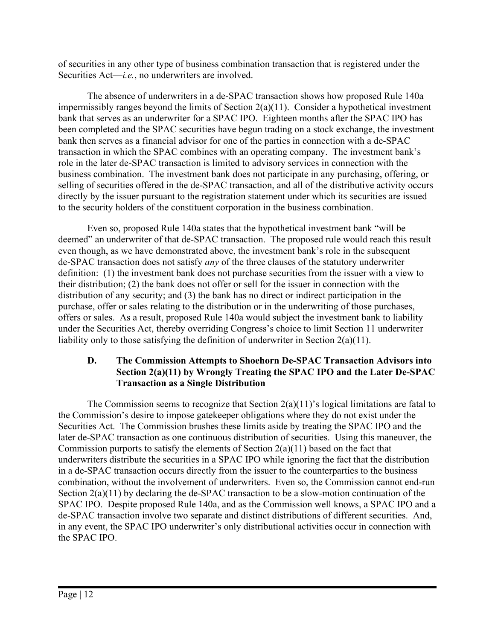of securities in any other type of business combination transaction that is registered under the Securities  $Act—i.e.,$  no underwriters are involved.

The absence of underwriters in a de-SPAC transaction shows how proposed Rule 140a impermissibly ranges beyond the limits of Section 2(a)(11). Consider a hypothetical investment bank that serves as an underwriter for a SPAC IPO. Eighteen months after the SPAC IPO has been completed and the SPAC securities have begun trading on a stock exchange, the investment bank then serves as a financial advisor for one of the parties in connection with a de-SPAC transaction in which the SPAC combines with an operating company. The investment bank's role in the later de-SPAC transaction is limited to advisory services in connection with the business combination. The investment bank does not participate in any purchasing, offering, or selling of securities offered in the de-SPAC transaction, and all of the distributive activity occurs directly by the issuer pursuant to the registration statement under which its securities are issued to the security holders of the constituent corporation in the business combination.

Even so, proposed Rule 140a states that the hypothetical investment bank "will be deemed" an underwriter of that de-SPAC transaction. The proposed rule would reach this result even though, as we have demonstrated above, the investment bank's role in the subsequent de-SPAC transaction does not satisfy any of the three clauses of the statutory underwriter definition: (1) the investment bank does not purchase securities from the issuer with a view to their distribution; (2) the bank does not offer or sell for the issuer in connection with the distribution of any security; and (3) the bank has no direct or indirect participation in the purchase, offer or sales relating to the distribution or in the underwriting of those purchases, offers or sales. As a result, proposed Rule 140a would subject the investment bank to liability under the Securities Act, thereby overriding Congress's choice to limit Section 11 underwriter liability only to those satisfying the definition of underwriter in Section 2(a)(11).

## D. The Commission Attempts to Shoehorn De-SPAC Transaction Advisors into Section 2(a)(11) by Wrongly Treating the SPAC IPO and the Later De-SPAC Transaction as a Single Distribution

The Commission seems to recognize that Section  $2(a)(11)$ 's logical limitations are fatal to the Commission's desire to impose gatekeeper obligations where they do not exist under the Securities Act. The Commission brushes these limits aside by treating the SPAC IPO and the later de-SPAC transaction as one continuous distribution of securities. Using this maneuver, the Commission purports to satisfy the elements of Section  $2(a)(11)$  based on the fact that underwriters distribute the securities in a SPAC IPO while ignoring the fact that the distribution in a de-SPAC transaction occurs directly from the issuer to the counterparties to the business combination, without the involvement of underwriters. Even so, the Commission cannot end-run Section 2(a)(11) by declaring the de-SPAC transaction to be a slow-motion continuation of the SPAC IPO. Despite proposed Rule 140a, and as the Commission well knows, a SPAC IPO and a de-SPAC transaction involve two separate and distinct distributions of different securities. And, in any event, the SPAC IPO underwriter's only distributional activities occur in connection with the SPAC IPO.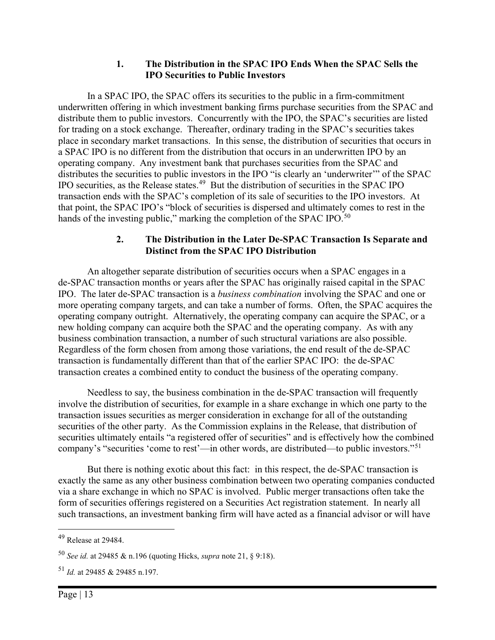#### 1. The Distribution in the SPAC IPO Ends When the SPAC Sells the IPO Securities to Public Investors

In a SPAC IPO, the SPAC offers its securities to the public in a firm-commitment underwritten offering in which investment banking firms purchase securities from the SPAC and distribute them to public investors. Concurrently with the IPO, the SPAC's securities are listed for trading on a stock exchange. Thereafter, ordinary trading in the SPAC's securities takes place in secondary market transactions. In this sense, the distribution of securities that occurs in a SPAC IPO is no different from the distribution that occurs in an underwritten IPO by an operating company. Any investment bank that purchases securities from the SPAC and distributes the securities to public investors in the IPO "is clearly an 'underwriter'" of the SPAC IPO securities, as the Release states.<sup>49</sup> But the distribution of securities in the SPAC IPO transaction ends with the SPAC's completion of its sale of securities to the IPO investors. At that point, the SPAC IPO's "block of securities is dispersed and ultimately comes to rest in the hands of the investing public," marking the completion of the SPAC IPO.<sup>50</sup>

#### 2. The Distribution in the Later De-SPAC Transaction Is Separate and Distinct from the SPAC IPO Distribution

An altogether separate distribution of securities occurs when a SPAC engages in a de-SPAC transaction months or years after the SPAC has originally raised capital in the SPAC IPO. The later de-SPAC transaction is a business combination involving the SPAC and one or more operating company targets, and can take a number of forms. Often, the SPAC acquires the operating company outright. Alternatively, the operating company can acquire the SPAC, or a new holding company can acquire both the SPAC and the operating company. As with any business combination transaction, a number of such structural variations are also possible. Regardless of the form chosen from among those variations, the end result of the de-SPAC transaction is fundamentally different than that of the earlier SPAC IPO: the de-SPAC transaction creates a combined entity to conduct the business of the operating company.

Needless to say, the business combination in the de-SPAC transaction will frequently involve the distribution of securities, for example in a share exchange in which one party to the transaction issues securities as merger consideration in exchange for all of the outstanding securities of the other party. As the Commission explains in the Release, that distribution of securities ultimately entails "a registered offer of securities" and is effectively how the combined company's "securities 'come to rest'—in other words, are distributed—to public investors."<sup>51</sup>

But there is nothing exotic about this fact: in this respect, the de-SPAC transaction is exactly the same as any other business combination between two operating companies conducted via a share exchange in which no SPAC is involved. Public merger transactions often take the form of securities offerings registered on a Securities Act registration statement. In nearly all such transactions, an investment banking firm will have acted as a financial advisor or will have

<sup>49</sup> Release at 29484.

<sup>&</sup>lt;sup>50</sup> See id. at 29485 & n.196 (quoting Hicks, *supra* note 21, § 9:18).

 $^{51}$  *Id.* at 29485 & 29485 n.197.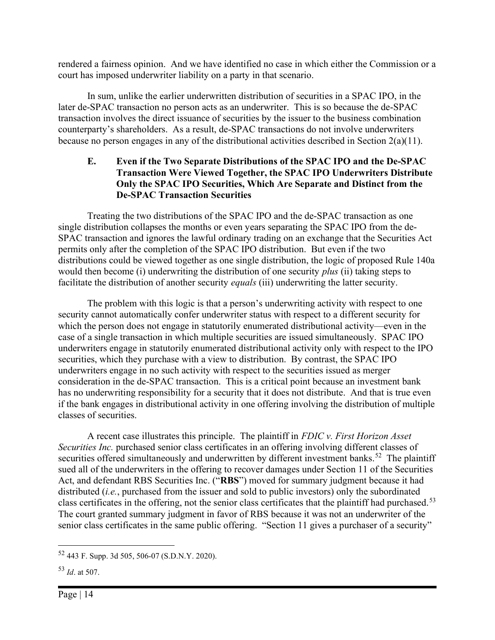rendered a fairness opinion. And we have identified no case in which either the Commission or a court has imposed underwriter liability on a party in that scenario.

In sum, unlike the earlier underwritten distribution of securities in a SPAC IPO, in the later de-SPAC transaction no person acts as an underwriter. This is so because the de-SPAC transaction involves the direct issuance of securities by the issuer to the business combination counterparty's shareholders. As a result, de-SPAC transactions do not involve underwriters because no person engages in any of the distributional activities described in Section 2(a)(11).

#### E. Even if the Two Separate Distributions of the SPAC IPO and the De-SPAC Transaction Were Viewed Together, the SPAC IPO Underwriters Distribute Only the SPAC IPO Securities, Which Are Separate and Distinct from the De-SPAC Transaction Securities

Treating the two distributions of the SPAC IPO and the de-SPAC transaction as one single distribution collapses the months or even years separating the SPAC IPO from the de-SPAC transaction and ignores the lawful ordinary trading on an exchange that the Securities Act permits only after the completion of the SPAC IPO distribution. But even if the two distributions could be viewed together as one single distribution, the logic of proposed Rule 140a would then become (i) underwriting the distribution of one security *plus* (ii) taking steps to facilitate the distribution of another security *equals* (iii) underwriting the latter security.

The problem with this logic is that a person's underwriting activity with respect to one security cannot automatically confer underwriter status with respect to a different security for which the person does not engage in statutorily enumerated distributional activity—even in the case of a single transaction in which multiple securities are issued simultaneously. SPAC IPO underwriters engage in statutorily enumerated distributional activity only with respect to the IPO securities, which they purchase with a view to distribution. By contrast, the SPAC IPO underwriters engage in no such activity with respect to the securities issued as merger consideration in the de-SPAC transaction. This is a critical point because an investment bank has no underwriting responsibility for a security that it does not distribute. And that is true even if the bank engages in distributional activity in one offering involving the distribution of multiple classes of securities.

A recent case illustrates this principle. The plaintiff in FDIC v. First Horizon Asset Securities Inc. purchased senior class certificates in an offering involving different classes of securities offered simultaneously and underwritten by different investment banks.<sup>52</sup> The plaintiff sued all of the underwriters in the offering to recover damages under Section 11 of the Securities Act, and defendant RBS Securities Inc. ("RBS") moved for summary judgment because it had distributed (*i.e.*, purchased from the issuer and sold to public investors) only the subordinated class certificates in the offering, not the senior class certificates that the plaintiff had purchased.<sup>53</sup> The court granted summary judgment in favor of RBS because it was not an underwriter of the senior class certificates in the same public offering. "Section 11 gives a purchaser of a security"

<sup>52</sup> 443 F. Supp. 3d 505, 506-07 (S.D.N.Y. 2020).

 $53$  *Id.* at 507.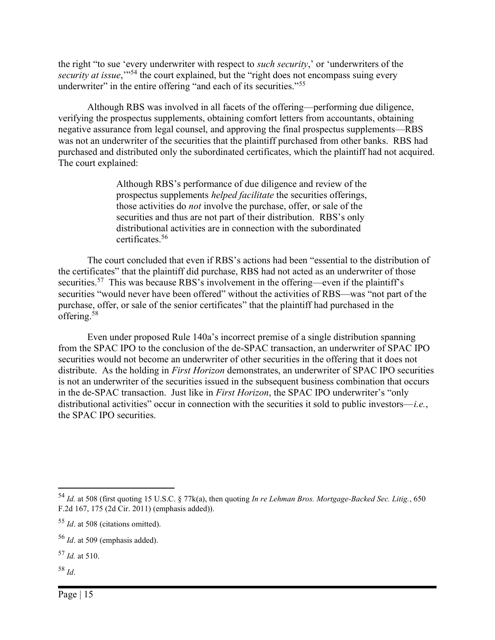the right "to sue 'every underwriter with respect to *such security*,' or 'underwriters of the security at issue,"<sup>54</sup> the court explained, but the "right does not encompass suing every underwriter" in the entire offering "and each of its securities."<sup>55</sup>

Although RBS was involved in all facets of the offering—performing due diligence, verifying the prospectus supplements, obtaining comfort letters from accountants, obtaining negative assurance from legal counsel, and approving the final prospectus supplements—RBS was not an underwriter of the securities that the plaintiff purchased from other banks. RBS had purchased and distributed only the subordinated certificates, which the plaintiff had not acquired. The court explained:

> Although RBS's performance of due diligence and review of the prospectus supplements helped facilitate the securities offerings, those activities do not involve the purchase, offer, or sale of the securities and thus are not part of their distribution. RBS's only distributional activities are in connection with the subordinated certificates.<sup>56</sup>

The court concluded that even if RBS's actions had been "essential to the distribution of the certificates" that the plaintiff did purchase, RBS had not acted as an underwriter of those securities.<sup>57</sup> This was because RBS's involvement in the offering—even if the plaintiff's securities "would never have been offered" without the activities of RBS—was "not part of the purchase, offer, or sale of the senior certificates" that the plaintiff had purchased in the offering.<sup>58</sup>

Even under proposed Rule 140a's incorrect premise of a single distribution spanning from the SPAC IPO to the conclusion of the de-SPAC transaction, an underwriter of SPAC IPO securities would not become an underwriter of other securities in the offering that it does not distribute. As the holding in *First Horizon* demonstrates, an underwriter of SPAC IPO securities is not an underwriter of the securities issued in the subsequent business combination that occurs in the de-SPAC transaction. Just like in First Horizon, the SPAC IPO underwriter's "only distributional activities" occur in connection with the securities it sold to public investors—*i.e.*, the SPAC IPO securities.

 $58$  Id.

<sup>54</sup> Id. at 508 (first quoting 15 U.S.C. § 77k(a), then quoting In re Lehman Bros. Mortgage-Backed Sec. Litig., 650 F.2d 167, 175 (2d Cir. 2011) (emphasis added)).

 $55$  *Id.* at 508 (citations omitted).

 $56$  *Id.* at 509 (emphasis added).

 $57$  *Id.* at 510.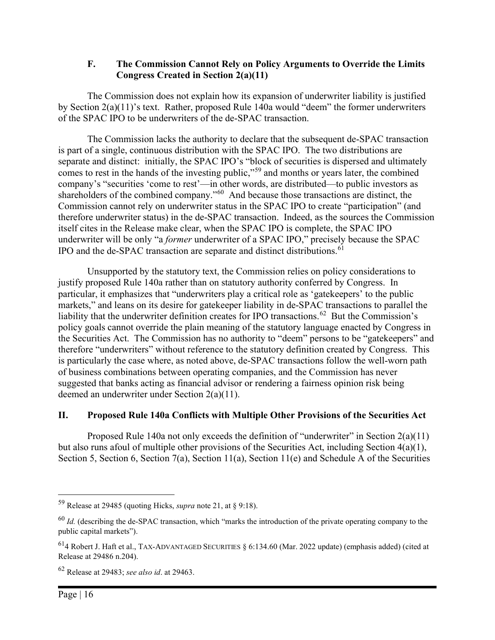#### F. The Commission Cannot Rely on Policy Arguments to Override the Limits Congress Created in Section 2(a)(11)

The Commission does not explain how its expansion of underwriter liability is justified by Section 2(a)(11)'s text. Rather, proposed Rule 140a would "deem" the former underwriters of the SPAC IPO to be underwriters of the de-SPAC transaction.

The Commission lacks the authority to declare that the subsequent de-SPAC transaction is part of a single, continuous distribution with the SPAC IPO. The two distributions are separate and distinct: initially, the SPAC IPO's "block of securities is dispersed and ultimately comes to rest in the hands of the investing public,"<sup>59</sup> and months or years later, the combined company's "securities 'come to rest'—in other words, are distributed—to public investors as shareholders of the combined company."<sup>60</sup> And because those transactions are distinct, the Commission cannot rely on underwriter status in the SPAC IPO to create "participation" (and therefore underwriter status) in the de-SPAC transaction. Indeed, as the sources the Commission itself cites in the Release make clear, when the SPAC IPO is complete, the SPAC IPO underwriter will be only "a former underwriter of a SPAC IPO," precisely because the SPAC IPO and the de-SPAC transaction are separate and distinct distributions.<sup>61</sup>

Unsupported by the statutory text, the Commission relies on policy considerations to justify proposed Rule 140a rather than on statutory authority conferred by Congress. In particular, it emphasizes that "underwriters play a critical role as 'gatekeepers' to the public markets," and leans on its desire for gatekeeper liability in de-SPAC transactions to parallel the liability that the underwriter definition creates for IPO transactions.<sup>62</sup> But the Commission's policy goals cannot override the plain meaning of the statutory language enacted by Congress in the Securities Act. The Commission has no authority to "deem" persons to be "gatekeepers" and therefore "underwriters" without reference to the statutory definition created by Congress. This is particularly the case where, as noted above, de-SPAC transactions follow the well-worn path of business combinations between operating companies, and the Commission has never suggested that banks acting as financial advisor or rendering a fairness opinion risk being deemed an underwriter under Section 2(a)(11).

## II. Proposed Rule 140a Conflicts with Multiple Other Provisions of the Securities Act

Proposed Rule 140a not only exceeds the definition of "underwriter" in Section  $2(a)(11)$ but also runs afoul of multiple other provisions of the Securities Act, including Section 4(a)(1), Section 5, Section 6, Section 7(a), Section 11(a), Section 11(e) and Schedule A of the Securities

<sup>&</sup>lt;sup>59</sup> Release at 29485 (quoting Hicks, *supra* note 21, at § 9:18).

 $^{60}$  *Id.* (describing the de-SPAC transaction, which "marks the introduction of the private operating company to the public capital markets").

 $^{61}$ 4 Robert J. Haft et al., TAX-ADVANTAGED SECURITIES § 6:134.60 (Mar. 2022 update) (emphasis added) (cited at Release at 29486 n.204).

 $62$  Release at 29483; see also id. at 29463.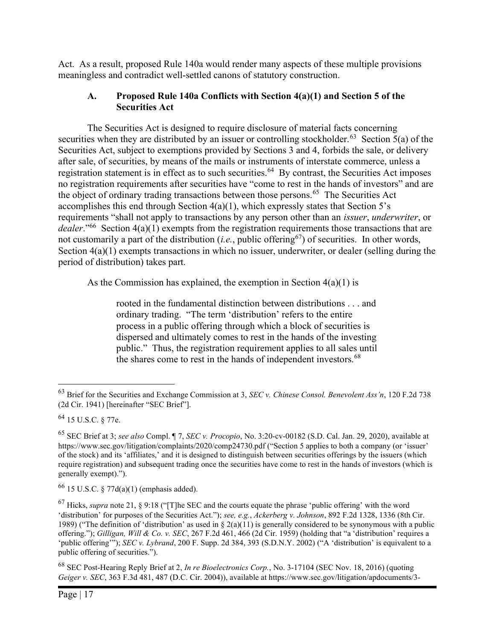Act. As a result, proposed Rule 140a would render many aspects of these multiple provisions meaningless and contradict well-settled canons of statutory construction.

## A. Proposed Rule 140a Conflicts with Section 4(a)(1) and Section 5 of the Securities Act

The Securities Act is designed to require disclosure of material facts concerning securities when they are distributed by an issuer or controlling stockholder.<sup>63</sup> Section 5(a) of the Securities Act, subject to exemptions provided by Sections 3 and 4, forbids the sale, or delivery after sale, of securities, by means of the mails or instruments of interstate commerce, unless a registration statement is in effect as to such securities.<sup>64</sup> By contrast, the Securities Act imposes no registration requirements after securities have "come to rest in the hands of investors" and are the object of ordinary trading transactions between those persons.<sup>65</sup> The Securities Act accomplishes this end through Section  $4(a)(1)$ , which expressly states that Section 5's requirements "shall not apply to transactions by any person other than an issuer, underwriter, or dealer."<sup>66</sup> Section  $4(a)(1)$  exempts from the registration requirements those transactions that are not customarily a part of the distribution (*i.e.*, public offering<sup>67</sup>) of securities. In other words, Section  $4(a)(1)$  exempts transactions in which no issuer, underwriter, or dealer (selling during the period of distribution) takes part.

As the Commission has explained, the exemption in Section  $4(a)(1)$  is

rooted in the fundamental distinction between distributions . . . and ordinary trading. "The term 'distribution' refers to the entire process in a public offering through which a block of securities is dispersed and ultimately comes to rest in the hands of the investing public." Thus, the registration requirement applies to all sales until the shares come to rest in the hands of independent investors.<sup>68</sup>

 $^{68}$  SEC Post-Hearing Reply Brief at 2, In re Bioelectronics Corp., No. 3-17104 (SEC Nov. 18, 2016) (quoting Geiger v. SEC, 363 F.3d 481, 487 (D.C. Cir. 2004)), available at https://www.sec.gov/litigation/apdocuments/3-

 $63$  Brief for the Securities and Exchange Commission at 3, SEC v. Chinese Consol. Benevolent Ass'n, 120 F.2d 738 (2d Cir. 1941) [hereinafter "SEC Brief"].

<sup>64</sup> 15 U.S.C. § 77e.

<sup>&</sup>lt;sup>65</sup> SEC Brief at 3; see also Compl. ¶ 7, SEC v. Procopio, No. 3:20-cv-00182 (S.D. Cal. Jan. 29, 2020), available at https://www.sec.gov/litigation/complaints/2020/comp24730.pdf ("Section 5 applies to both a company (or 'issuer' of the stock) and its 'affiliates,' and it is designed to distinguish between securities offerings by the issuers (which require registration) and subsequent trading once the securities have come to rest in the hands of investors (which is generally exempt).").

 $66$  15 U.S.C. § 77d(a)(1) (emphasis added).

 $^{67}$  Hicks, *supra* note 21, § 9:18 ("[T]he SEC and the courts equate the phrase 'public offering' with the word 'distribution' for purposes of the Securities Act."); see, e.g., Ackerberg v. Johnson, 892 F.2d 1328, 1336 (8th Cir. 1989) ("The definition of 'distribution' as used in  $\S$  2(a)(11) is generally considered to be synonymous with a public offering."); Gilligan, Will & Co. v. SEC, 267 F.2d 461, 466 (2d Cir. 1959) (holding that "a 'distribution' requires a 'public offering'"); SEC v. Lybrand, 200 F. Supp. 2d 384, 393 (S.D.N.Y. 2002) ("A 'distribution' is equivalent to a public offering of securities.").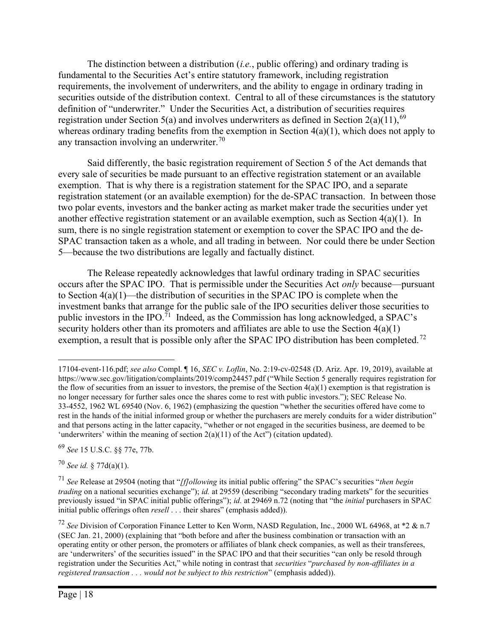The distinction between a distribution  $(i.e., public offering)$  and ordinary trading is fundamental to the Securities Act's entire statutory framework, including registration requirements, the involvement of underwriters, and the ability to engage in ordinary trading in securities outside of the distribution context. Central to all of these circumstances is the statutory definition of "underwriter." Under the Securities Act, a distribution of securities requires registration under Section 5(a) and involves underwriters as defined in Section 2(a)(11),<sup>69</sup> whereas ordinary trading benefits from the exemption in Section  $4(a)(1)$ , which does not apply to any transaction involving an underwriter.<sup>70</sup>

Said differently, the basic registration requirement of Section 5 of the Act demands that every sale of securities be made pursuant to an effective registration statement or an available exemption. That is why there is a registration statement for the SPAC IPO, and a separate registration statement (or an available exemption) for the de-SPAC transaction. In between those two polar events, investors and the banker acting as market maker trade the securities under yet another effective registration statement or an available exemption, such as Section 4(a)(1). In sum, there is no single registration statement or exemption to cover the SPAC IPO and the de-SPAC transaction taken as a whole, and all trading in between. Nor could there be under Section 5—because the two distributions are legally and factually distinct.

The Release repeatedly acknowledges that lawful ordinary trading in SPAC securities occurs after the SPAC IPO. That is permissible under the Securities Act only because—pursuant to Section 4(a)(1)—the distribution of securities in the SPAC IPO is complete when the investment banks that arrange for the public sale of the IPO securities deliver those securities to public investors in the IPO.<sup>71</sup> Indeed, as the Commission has long acknowledged, a SPAC's security holders other than its promoters and affiliates are able to use the Section 4(a)(1) exemption, a result that is possible only after the SPAC IPO distribution has been completed.<sup>72</sup>

 $70$  See id. § 77d(a)(1).

<sup>17104-</sup>event-116.pdf; see also Compl.  $\P$  16, SEC v. Loflin, No. 2:19-cv-02548 (D. Ariz. Apr. 19, 2019), available at https://www.sec.gov/litigation/complaints/2019/comp24457.pdf ("While Section 5 generally requires registration for the flow of securities from an issuer to investors, the premise of the Section  $4(a)(1)$  exemption is that registration is no longer necessary for further sales once the shares come to rest with public investors."); SEC Release No. 33-4552, 1962 WL 69540 (Nov. 6, 1962) (emphasizing the question "whether the securities offered have come to rest in the hands of the initial informed group or whether the purchasers are merely conduits for a wider distribution" and that persons acting in the latter capacity, "whether or not engaged in the securities business, are deemed to be 'underwriters' within the meaning of section  $2(a)(11)$  of the Act") (citation updated).

<sup>69</sup> See 15 U.S.C. §§ 77e, 77b.

<sup>&</sup>lt;sup>71</sup> See Release at 29504 (noting that "*[f]ollowing* its initial public offering" the SPAC's securities "*then begin* trading on a national securities exchange"); id. at 29559 (describing "secondary trading markets" for the securities previously issued "in SPAC initial public offerings"); id. at 29469 n.72 (noting that "the *initial* purchasers in SPAC initial public offerings often *resell* . . . their shares" (emphasis added)).

<sup>&</sup>lt;sup>72</sup> See Division of Corporation Finance Letter to Ken Worm, NASD Regulation, Inc., 2000 WL 64968, at \*2 & n.7 (SEC Jan. 21, 2000) (explaining that "both before and after the business combination or transaction with an operating entity or other person, the promoters or affiliates of blank check companies, as well as their transferees, are 'underwriters' of the securities issued" in the SPAC IPO and that their securities "can only be resold through registration under the Securities Act," while noting in contrast that securities "purchased by non-affiliates in a registered transaction . . . would not be subject to this restriction" (emphasis added)).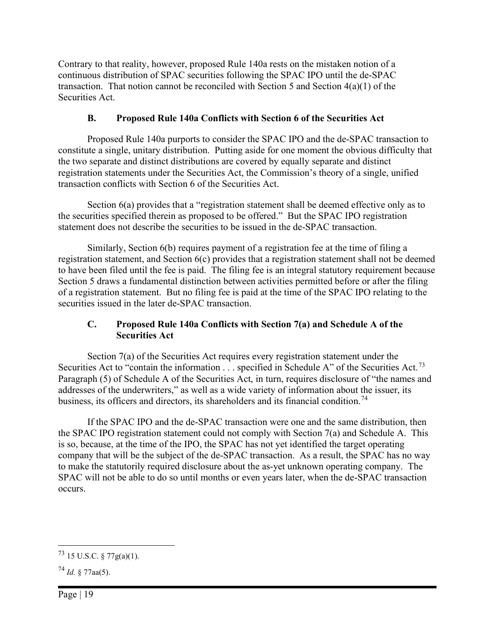Contrary to that reality, however, proposed Rule 140a rests on the mistaken notion of a continuous distribution of SPAC securities following the SPAC IPO until the de-SPAC transaction. That notion cannot be reconciled with Section 5 and Section 4(a)(1) of the Securities Act.

# B. Proposed Rule 140a Conflicts with Section 6 of the Securities Act

Proposed Rule 140a purports to consider the SPAC IPO and the de-SPAC transaction to constitute a single, unitary distribution. Putting aside for one moment the obvious difficulty that the two separate and distinct distributions are covered by equally separate and distinct registration statements under the Securities Act, the Commission's theory of a single, unified transaction conflicts with Section 6 of the Securities Act.

Section 6(a) provides that a "registration statement shall be deemed effective only as to the securities specified therein as proposed to be offered." But the SPAC IPO registration statement does not describe the securities to be issued in the de-SPAC transaction.

Similarly, Section 6(b) requires payment of a registration fee at the time of filing a registration statement, and Section 6(c) provides that a registration statement shall not be deemed to have been filed until the fee is paid. The filing fee is an integral statutory requirement because Section 5 draws a fundamental distinction between activities permitted before or after the filing of a registration statement. But no filing fee is paid at the time of the SPAC IPO relating to the securities issued in the later de-SPAC transaction.

## C. Proposed Rule 140a Conflicts with Section 7(a) and Schedule A of the Securities Act

Section 7(a) of the Securities Act requires every registration statement under the Securities Act to "contain the information  $\ldots$  specified in Schedule A" of the Securities Act.<sup>73</sup> Paragraph (5) of Schedule A of the Securities Act, in turn, requires disclosure of "the names and addresses of the underwriters," as well as a wide variety of information about the issuer, its business, its officers and directors, its shareholders and its financial condition.<sup>74</sup>

If the SPAC IPO and the de-SPAC transaction were one and the same distribution, then the SPAC IPO registration statement could not comply with Section 7(a) and Schedule A. This is so, because, at the time of the IPO, the SPAC has not yet identified the target operating company that will be the subject of the de-SPAC transaction. As a result, the SPAC has no way to make the statutorily required disclosure about the as-yet unknown operating company. The SPAC will not be able to do so until months or even years later, when the de-SPAC transaction occurs.

 $^{73}$  15 U.S.C. § 77g(a)(1).

 $^{74}$  Id. § 77aa(5).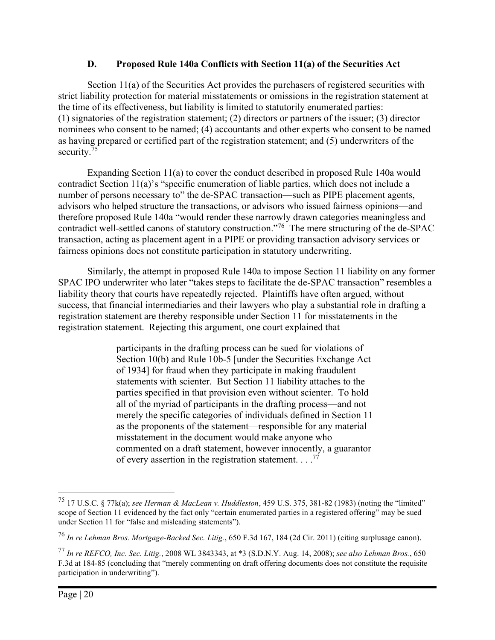### D. Proposed Rule 140a Conflicts with Section 11(a) of the Securities Act

Section 11(a) of the Securities Act provides the purchasers of registered securities with strict liability protection for material misstatements or omissions in the registration statement at the time of its effectiveness, but liability is limited to statutorily enumerated parties: (1) signatories of the registration statement; (2) directors or partners of the issuer; (3) director nominees who consent to be named; (4) accountants and other experts who consent to be named as having prepared or certified part of the registration statement; and (5) underwriters of the security.<sup>75</sup>

Expanding Section 11(a) to cover the conduct described in proposed Rule 140a would contradict Section 11(a)'s "specific enumeration of liable parties, which does not include a number of persons necessary to" the de-SPAC transaction—such as PIPE placement agents, advisors who helped structure the transactions, or advisors who issued fairness opinions—and therefore proposed Rule 140a "would render these narrowly drawn categories meaningless and contradict well-settled canons of statutory construction."<sup>76</sup> The mere structuring of the de-SPAC transaction, acting as placement agent in a PIPE or providing transaction advisory services or fairness opinions does not constitute participation in statutory underwriting.

Similarly, the attempt in proposed Rule 140a to impose Section 11 liability on any former SPAC IPO underwriter who later "takes steps to facilitate the de-SPAC transaction" resembles a liability theory that courts have repeatedly rejected. Plaintiffs have often argued, without success, that financial intermediaries and their lawyers who play a substantial role in drafting a registration statement are thereby responsible under Section 11 for misstatements in the registration statement. Rejecting this argument, one court explained that

> participants in the drafting process can be sued for violations of Section 10(b) and Rule 10b-5 [under the Securities Exchange Act of 1934] for fraud when they participate in making fraudulent statements with scienter. But Section 11 liability attaches to the parties specified in that provision even without scienter. To hold all of the myriad of participants in the drafting process—and not merely the specific categories of individuals defined in Section 11 as the proponents of the statement—responsible for any material misstatement in the document would make anyone who commented on a draft statement, however innocently, a guarantor of every assertion in the registration statement.  $\ldots$ <sup>77</sup>

<sup>75</sup> 17 U.S.C. § 77k(a); see Herman & MacLean v. Huddleston, 459 U.S. 375, 381-82 (1983) (noting the "limited" scope of Section 11 evidenced by the fact only "certain enumerated parties in a registered offering" may be sued under Section 11 for "false and misleading statements").

<sup>76</sup> In re Lehman Bros. Mortgage-Backed Sec. Litig., 650 F.3d 167, 184 (2d Cir. 2011) (citing surplusage canon).

 $^{77}$  In re REFCO, Inc. Sec. Litig., 2008 WL 3843343, at \*3 (S.D.N.Y. Aug. 14, 2008); see also Lehman Bros., 650 F.3d at 184-85 (concluding that "merely commenting on draft offering documents does not constitute the requisite participation in underwriting").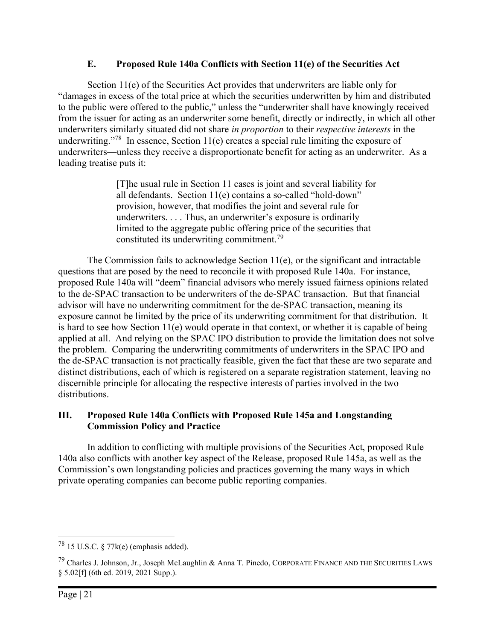## E. Proposed Rule 140a Conflicts with Section 11(e) of the Securities Act

Section 11(e) of the Securities Act provides that underwriters are liable only for "damages in excess of the total price at which the securities underwritten by him and distributed to the public were offered to the public," unless the "underwriter shall have knowingly received from the issuer for acting as an underwriter some benefit, directly or indirectly, in which all other underwriters similarly situated did not share in proportion to their respective interests in the underwriting."<sup>78</sup> In essence, Section 11(e) creates a special rule limiting the exposure of underwriters—unless they receive a disproportionate benefit for acting as an underwriter. As a leading treatise puts it:

> [T]he usual rule in Section 11 cases is joint and several liability for all defendants. Section 11(e) contains a so-called "hold-down" provision, however, that modifies the joint and several rule for underwriters. . . . Thus, an underwriter's exposure is ordinarily limited to the aggregate public offering price of the securities that constituted its underwriting commitment.<sup>79</sup>

The Commission fails to acknowledge Section 11(e), or the significant and intractable questions that are posed by the need to reconcile it with proposed Rule 140a. For instance, proposed Rule 140a will "deem" financial advisors who merely issued fairness opinions related to the de-SPAC transaction to be underwriters of the de-SPAC transaction. But that financial advisor will have no underwriting commitment for the de-SPAC transaction, meaning its exposure cannot be limited by the price of its underwriting commitment for that distribution. It is hard to see how Section 11(e) would operate in that context, or whether it is capable of being applied at all. And relying on the SPAC IPO distribution to provide the limitation does not solve the problem. Comparing the underwriting commitments of underwriters in the SPAC IPO and the de-SPAC transaction is not practically feasible, given the fact that these are two separate and distinct distributions, each of which is registered on a separate registration statement, leaving no discernible principle for allocating the respective interests of parties involved in the two distributions.

#### III. Proposed Rule 140a Conflicts with Proposed Rule 145a and Longstanding Commission Policy and Practice

In addition to conflicting with multiple provisions of the Securities Act, proposed Rule 140a also conflicts with another key aspect of the Release, proposed Rule 145a, as well as the Commission's own longstanding policies and practices governing the many ways in which private operating companies can become public reporting companies.

 $^{78}$  15 U.S.C. § 77 $k(e)$  (emphasis added).

<sup>79</sup> Charles J. Johnson, Jr., Joseph McLaughlin & Anna T. Pinedo, CORPORATE FINANCE AND THE SECURITIES LAWS § 5.02[f] (6th ed. 2019, 2021 Supp.).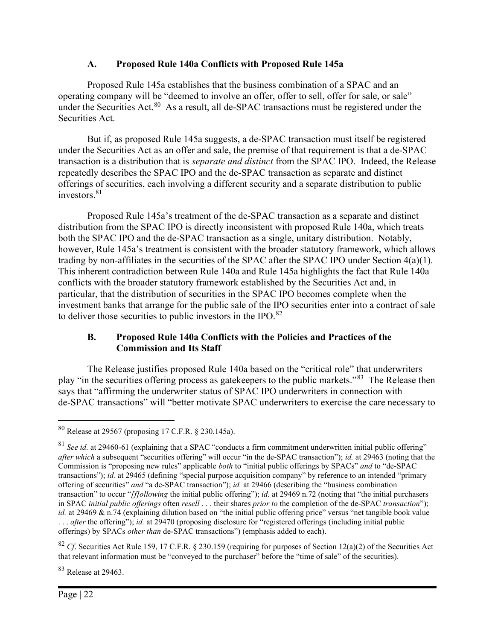### A. Proposed Rule 140a Conflicts with Proposed Rule 145a

Proposed Rule 145a establishes that the business combination of a SPAC and an operating company will be "deemed to involve an offer, offer to sell, offer for sale, or sale" under the Securities Act.<sup>80</sup> As a result, all de-SPAC transactions must be registered under the Securities Act.

But if, as proposed Rule 145a suggests, a de-SPAC transaction must itself be registered under the Securities Act as an offer and sale, the premise of that requirement is that a de-SPAC transaction is a distribution that is separate and distinct from the SPAC IPO. Indeed, the Release repeatedly describes the SPAC IPO and the de-SPAC transaction as separate and distinct offerings of securities, each involving a different security and a separate distribution to public investors.<sup>81</sup>

Proposed Rule 145a's treatment of the de-SPAC transaction as a separate and distinct distribution from the SPAC IPO is directly inconsistent with proposed Rule 140a, which treats both the SPAC IPO and the de-SPAC transaction as a single, unitary distribution. Notably, however, Rule 145a's treatment is consistent with the broader statutory framework, which allows trading by non-affiliates in the securities of the SPAC after the SPAC IPO under Section 4(a)(1). This inherent contradiction between Rule 140a and Rule 145a highlights the fact that Rule 140a conflicts with the broader statutory framework established by the Securities Act and, in particular, that the distribution of securities in the SPAC IPO becomes complete when the investment banks that arrange for the public sale of the IPO securities enter into a contract of sale to deliver those securities to public investors in the IPO.<sup>82</sup>

## B. Proposed Rule 140a Conflicts with the Policies and Practices of the Commission and Its Staff

The Release justifies proposed Rule 140a based on the "critical role" that underwriters play "in the securities offering process as gatekeepers to the public markets."<sup>83</sup> The Release then says that "affirming the underwriter status of SPAC IPO underwriters in connection with de-SPAC transactions" will "better motivate SPAC underwriters to exercise the care necessary to

<sup>82</sup> Cf. Securities Act Rule 159, 17 C.F.R. § 230.159 (requiring for purposes of Section 12(a)(2) of the Securities Act that relevant information must be "conveyed to the purchaser" before the "time of sale" of the securities).

<sup>83</sup> Release at 29463.

<sup>80</sup> Release at 29567 (proposing 17 C.F.R. § 230.145a).

 $81$  See id. at 29460-61 (explaining that a SPAC "conducts a firm commitment underwritten initial public offering" after which a subsequent "securities offering" will occur "in the de-SPAC transaction"); id. at 29463 (noting that the Commission is "proposing new rules" applicable *both* to "initial public offerings by SPACs" and to "de-SPAC transactions"); *id.* at 29465 (defining "special purpose acquisition company" by reference to an intended "primary offering of securities" and "a de-SPAC transaction"); id. at 29466 (describing the "business combination transaction" to occur "*[f]ollowing* the initial public offering"); *id.* at 29469 n.72 (noting that "the initial purchasers in SPAC *initial public offerings* often *resell* . . . their shares *prior to* the completion of the de-SPAC *transaction*"); id. at 29469 & n.74 (explaining dilution based on "the initial public offering price" versus "net tangible book value ... *after* the offering"); *id.* at 29470 (proposing disclosure for "registered offerings (including initial public offerings) by SPACs other than de-SPAC transactions") (emphasis added to each).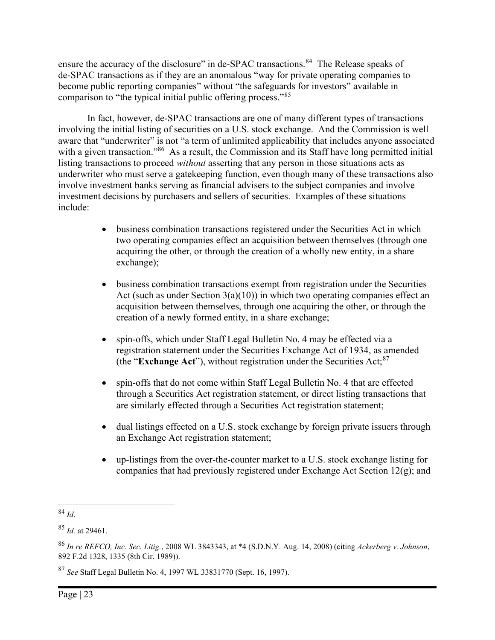ensure the accuracy of the disclosure" in de-SPAC transactions.<sup>84</sup> The Release speaks of de-SPAC transactions as if they are an anomalous "way for private operating companies to become public reporting companies" without "the safeguards for investors" available in comparison to "the typical initial public offering process."<sup>85</sup>

In fact, however, de-SPAC transactions are one of many different types of transactions involving the initial listing of securities on a U.S. stock exchange. And the Commission is well aware that "underwriter" is not "a term of unlimited applicability that includes anyone associated with a given transaction."<sup>86</sup> As a result, the Commission and its Staff have long permitted initial listing transactions to proceed without asserting that any person in those situations acts as underwriter who must serve a gatekeeping function, even though many of these transactions also involve investment banks serving as financial advisers to the subject companies and involve investment decisions by purchasers and sellers of securities. Examples of these situations include:

- business combination transactions registered under the Securities Act in which two operating companies effect an acquisition between themselves (through one acquiring the other, or through the creation of a wholly new entity, in a share exchange);
- business combination transactions exempt from registration under the Securities Act (such as under Section  $3(a)(10)$ ) in which two operating companies effect an acquisition between themselves, through one acquiring the other, or through the creation of a newly formed entity, in a share exchange;
- spin-offs, which under Staff Legal Bulletin No. 4 may be effected via a registration statement under the Securities Exchange Act of 1934, as amended (the "Exchange Act"), without registration under the Securities Act; $87$
- spin-offs that do not come within Staff Legal Bulletin No. 4 that are effected through a Securities Act registration statement, or direct listing transactions that are similarly effected through a Securities Act registration statement;
- dual listings effected on a U.S. stock exchange by foreign private issuers through an Exchange Act registration statement;
- up-listings from the over-the-counter market to a U.S. stock exchange listing for companies that had previously registered under Exchange Act Section 12(g); and

<sup>87</sup> See Staff Legal Bulletin No. 4, 1997 WL 33831770 (Sept. 16, 1997).

 $84$  Id.

 $85$  *Id.* at 29461.

<sup>86</sup> In re REFCO, Inc. Sec. Litig., 2008 WL 3843343, at \*4 (S.D.N.Y. Aug. 14, 2008) (citing Ackerberg v. Johnson, 892 F.2d 1328, 1335 (8th Cir. 1989)).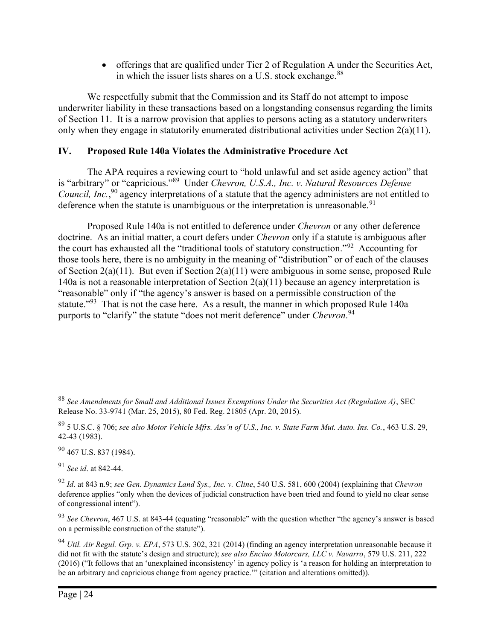offerings that are qualified under Tier 2 of Regulation A under the Securities Act, in which the issuer lists shares on a U.S. stock exchange.<sup>88</sup>

We respectfully submit that the Commission and its Staff do not attempt to impose underwriter liability in these transactions based on a longstanding consensus regarding the limits of Section 11. It is a narrow provision that applies to persons acting as a statutory underwriters only when they engage in statutorily enumerated distributional activities under Section 2(a)(11).

## IV. Proposed Rule 140a Violates the Administrative Procedure Act

The APA requires a reviewing court to "hold unlawful and set aside agency action" that is "arbitrary" or "capricious."<sup>89</sup> Under Chevron, U.S.A., Inc. v. Natural Resources Defense Council, Inc.,<sup>90</sup> agency interpretations of a statute that the agency administers are not entitled to deference when the statute is unambiguous or the interpretation is unreasonable.<sup>91</sup>

Proposed Rule 140a is not entitled to deference under *Chevron* or any other deference doctrine. As an initial matter, a court defers under Chevron only if a statute is ambiguous after the court has exhausted all the "traditional tools of statutory construction."<sup>92</sup> Accounting for those tools here, there is no ambiguity in the meaning of "distribution" or of each of the clauses of Section 2(a)(11). But even if Section 2(a)(11) were ambiguous in some sense, proposed Rule 140a is not a reasonable interpretation of Section 2(a)(11) because an agency interpretation is "reasonable" only if "the agency's answer is based on a permissible construction of the statute."<sup>93</sup> That is not the case here. As a result, the manner in which proposed Rule 140a purports to "clarify" the statute "does not merit deference" under *Chevron*.<sup>94</sup>

 $90$  467 U.S. 837 (1984).

<sup>91</sup> See id. at 842-44.

 $88$  See Amendments for Small and Additional Issues Exemptions Under the Securities Act (Regulation A), SEC Release No. 33-9741 (Mar. 25, 2015), 80 Fed. Reg. 21805 (Apr. 20, 2015).

 $89$  5 U.S.C. § 706; see also Motor Vehicle Mfrs. Ass'n of U.S., Inc. v. State Farm Mut. Auto. Ins. Co., 463 U.S. 29, 42-43 (1983).

 $92$  Id. at 843 n.9; see Gen. Dynamics Land Sys., Inc. v. Cline, 540 U.S. 581, 600 (2004) (explaining that Chevron deference applies "only when the devices of judicial construction have been tried and found to yield no clear sense of congressional intent").

 $93$  See Chevron, 467 U.S. at 843-44 (equating "reasonable" with the question whether "the agency's answer is based on a permissible construction of the statute").

<sup>94</sup> Util. Air Regul. Grp. v. EPA, 573 U.S. 302, 321 (2014) (finding an agency interpretation unreasonable because it did not fit with the statute's design and structure); see also Encino Motorcars, LLC v. Navarro, 579 U.S. 211, 222 (2016) ("It follows that an 'unexplained inconsistency' in agency policy is 'a reason for holding an interpretation to be an arbitrary and capricious change from agency practice.'" (citation and alterations omitted)).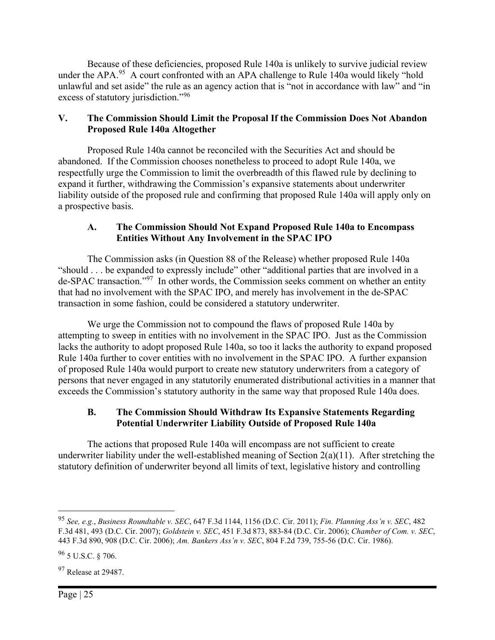Because of these deficiencies, proposed Rule 140a is unlikely to survive judicial review under the APA.<sup>95</sup> A court confronted with an APA challenge to Rule 140a would likely "hold unlawful and set aside" the rule as an agency action that is "not in accordance with law" and "in excess of statutory jurisdiction."<sup>96</sup>

## V. The Commission Should Limit the Proposal If the Commission Does Not Abandon Proposed Rule 140a Altogether

Proposed Rule 140a cannot be reconciled with the Securities Act and should be abandoned. If the Commission chooses nonetheless to proceed to adopt Rule 140a, we respectfully urge the Commission to limit the overbreadth of this flawed rule by declining to expand it further, withdrawing the Commission's expansive statements about underwriter liability outside of the proposed rule and confirming that proposed Rule 140a will apply only on a prospective basis.

#### A. The Commission Should Not Expand Proposed Rule 140a to Encompass Entities Without Any Involvement in the SPAC IPO

The Commission asks (in Question 88 of the Release) whether proposed Rule 140a "should . . . be expanded to expressly include" other "additional parties that are involved in a de-SPAC transaction."<sup>97</sup> In other words, the Commission seeks comment on whether an entity that had no involvement with the SPAC IPO, and merely has involvement in the de-SPAC transaction in some fashion, could be considered a statutory underwriter.

We urge the Commission not to compound the flaws of proposed Rule 140a by attempting to sweep in entities with no involvement in the SPAC IPO. Just as the Commission lacks the authority to adopt proposed Rule 140a, so too it lacks the authority to expand proposed Rule 140a further to cover entities with no involvement in the SPAC IPO. A further expansion of proposed Rule 140a would purport to create new statutory underwriters from a category of persons that never engaged in any statutorily enumerated distributional activities in a manner that exceeds the Commission's statutory authority in the same way that proposed Rule 140a does.

## B. The Commission Should Withdraw Its Expansive Statements Regarding Potential Underwriter Liability Outside of Proposed Rule 140a

The actions that proposed Rule 140a will encompass are not sufficient to create underwriter liability under the well-established meaning of Section  $2(a)(11)$ . After stretching the statutory definition of underwriter beyond all limits of text, legislative history and controlling

 $97$  Release at 29487.

<sup>95</sup> See, e.g., Business Roundtable v. SEC, 647 F.3d 1144, 1156 (D.C. Cir. 2011); Fin. Planning Ass'n v. SEC, 482 F.3d 481, 493 (D.C. Cir. 2007); Goldstein v. SEC, 451 F.3d 873, 883-84 (D.C. Cir. 2006); Chamber of Com. v. SEC, 443 F.3d 890, 908 (D.C. Cir. 2006); Am. Bankers Ass'n v. SEC, 804 F.2d 739, 755-56 (D.C. Cir. 1986).

 $96$  5 U.S.C. § 706.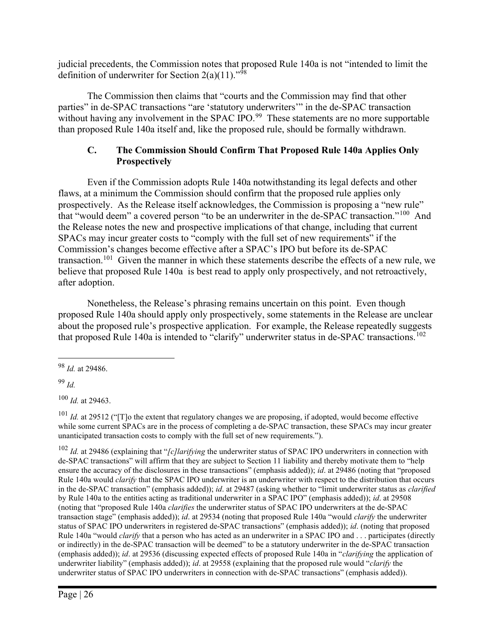judicial precedents, the Commission notes that proposed Rule 140a is not "intended to limit the definition of underwriter for Section  $2(a)(11)$ ."<sup>98</sup>

The Commission then claims that "courts and the Commission may find that other parties" in de-SPAC transactions "are 'statutory underwriters'" in the de-SPAC transaction without having any involvement in the SPAC IPO.<sup>99</sup> These statements are no more supportable than proposed Rule 140a itself and, like the proposed rule, should be formally withdrawn.

## C. The Commission Should Confirm That Proposed Rule 140a Applies Only **Prospectively**

Even if the Commission adopts Rule 140a notwithstanding its legal defects and other flaws, at a minimum the Commission should confirm that the proposed rule applies only prospectively. As the Release itself acknowledges, the Commission is proposing a "new rule" that "would deem" a covered person "to be an underwriter in the de-SPAC transaction."<sup>100</sup> And the Release notes the new and prospective implications of that change, including that current SPACs may incur greater costs to "comply with the full set of new requirements" if the Commission's changes become effective after a SPAC's IPO but before its de-SPAC transaction.<sup>101</sup> Given the manner in which these statements describe the effects of a new rule, we believe that proposed Rule 140a is best read to apply only prospectively, and not retroactively, after adoption.

Nonetheless, the Release's phrasing remains uncertain on this point. Even though proposed Rule 140a should apply only prospectively, some statements in the Release are unclear about the proposed rule's prospective application. For example, the Release repeatedly suggests that proposed Rule 140a is intended to "clarify" underwriter status in de-SPAC transactions.<sup>102</sup>

 $99$  *Id.* 

 $100$  *Id.* at 29463.

 $101$  *Id.* at 29512 ("[T]o the extent that regulatory changes we are proposing, if adopted, would become effective while some current SPACs are in the process of completing a de-SPAC transaction, these SPACs may incur greater unanticipated transaction costs to comply with the full set of new requirements.").

 $102$  *Id.* at 29486 (explaining that "[c]larifying the underwriter status of SPAC IPO underwriters in connection with de-SPAC transactions" will affirm that they are subject to Section 11 liability and thereby motivate them to "help ensure the accuracy of the disclosures in these transactions" (emphasis added)); *id.* at 29486 (noting that "proposed Rule 140a would *clarify* that the SPAC IPO underwriter is an underwriter with respect to the distribution that occurs in the de-SPAC transaction" (emphasis added)); id. at 29487 (asking whether to "limit underwriter status as *clarified* by Rule 140a to the entities acting as traditional underwriter in a SPAC IPO" (emphasis added)); *id.* at 29508 (noting that "proposed Rule 140a clarifies the underwriter status of SPAC IPO underwriters at the de-SPAC transaction stage" (emphasis added)); id. at 29534 (noting that proposed Rule 140a "would *clarify* the underwriter status of SPAC IPO underwriters in registered de-SPAC transactions" (emphasis added)); *id.* (noting that proposed Rule 140a "would *clarify* that a person who has acted as an underwriter in a SPAC IPO and  $\ldots$  participates (directly or indirectly) in the de-SPAC transaction will be deemed" to be a statutory underwriter in the de-SPAC transaction (emphasis added)); id. at 29536 (discussing expected effects of proposed Rule 140a in "clarifying the application of underwriter liability" (emphasis added)); id. at 29558 (explaining that the proposed rule would "clarify the underwriter status of SPAC IPO underwriters in connection with de-SPAC transactions" (emphasis added)).

<sup>98</sup> Id. at 29486.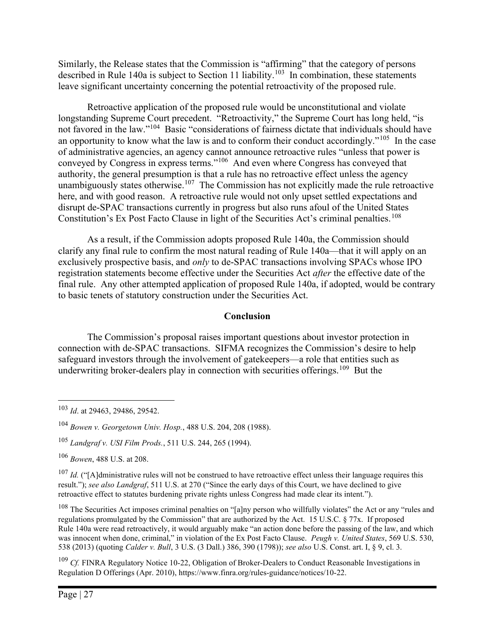Similarly, the Release states that the Commission is "affirming" that the category of persons described in Rule 140a is subject to Section 11 liability.<sup>103</sup> In combination, these statements leave significant uncertainty concerning the potential retroactivity of the proposed rule.

Retroactive application of the proposed rule would be unconstitutional and violate longstanding Supreme Court precedent. "Retroactivity," the Supreme Court has long held, "is not favored in the law."<sup>104</sup> Basic "considerations of fairness dictate that individuals should have an opportunity to know what the law is and to conform their conduct accordingly."<sup>105</sup> In the case of administrative agencies, an agency cannot announce retroactive rules "unless that power is conveyed by Congress in express terms."<sup>106</sup> And even where Congress has conveyed that authority, the general presumption is that a rule has no retroactive effect unless the agency unambiguously states otherwise.<sup>107</sup> The Commission has not explicitly made the rule retroactive here, and with good reason. A retroactive rule would not only upset settled expectations and disrupt de-SPAC transactions currently in progress but also runs afoul of the United States Constitution's Ex Post Facto Clause in light of the Securities Act's criminal penalties.<sup>108</sup>

As a result, if the Commission adopts proposed Rule 140a, the Commission should clarify any final rule to confirm the most natural reading of Rule 140a—that it will apply on an exclusively prospective basis, and only to de-SPAC transactions involving SPACs whose IPO registration statements become effective under the Securities Act after the effective date of the final rule. Any other attempted application of proposed Rule 140a, if adopted, would be contrary to basic tenets of statutory construction under the Securities Act.

#### Conclusion

The Commission's proposal raises important questions about investor protection in connection with de-SPAC transactions. SIFMA recognizes the Commission's desire to help safeguard investors through the involvement of gatekeepers—a role that entities such as underwriting broker-dealers play in connection with securities offerings.<sup>109</sup> But the

<sup>103</sup> Id. at 29463, 29486, 29542.

<sup>104</sup> Bowen v. Georgetown Univ. Hosp., 488 U.S. 204, 208 (1988).

<sup>105</sup> Landgraf v. USI Film Prods., 511 U.S. 244, 265 (1994).

<sup>106</sup> Bowen, 488 U.S. at 208.

<sup>&</sup>lt;sup>107</sup> Id. ("[A]dministrative rules will not be construed to have retroactive effect unless their language requires this result."); see also Landgraf, 511 U.S. at 270 ("Since the early days of this Court, we have declined to give retroactive effect to statutes burdening private rights unless Congress had made clear its intent.").

 $108$  The Securities Act imposes criminal penalties on "[a]ny person who willfully violates" the Act or any "rules and regulations promulgated by the Commission" that are authorized by the Act. 15 U.S.C. § 77x. If proposed Rule 140a were read retroactively, it would arguably make "an action done before the passing of the law, and which was innocent when done, criminal," in violation of the Ex Post Facto Clause. Peugh v. United States, 569 U.S. 530, 538 (2013) (quoting Calder v. Bull, 3 U.S. (3 Dall.) 386, 390 (1798)); see also U.S. Const. art. I, § 9, cl. 3.

 $109$  Cf. FINRA Regulatory Notice 10-22, Obligation of Broker-Dealers to Conduct Reasonable Investigations in Regulation D Offerings (Apr. 2010), https://www.finra.org/rules-guidance/notices/10-22.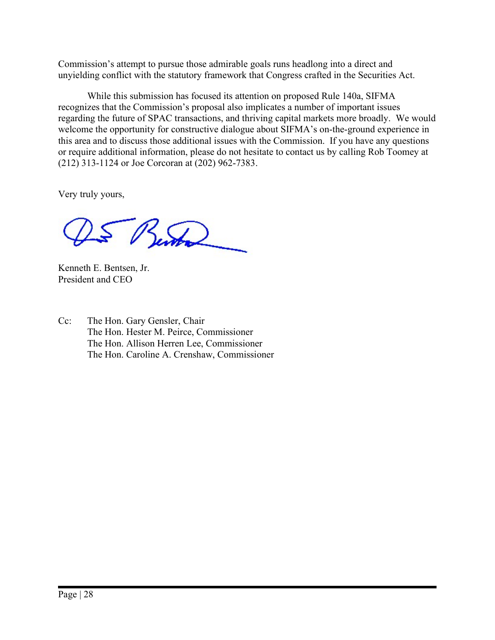Commission's attempt to pursue those admirable goals runs headlong into a direct and unyielding conflict with the statutory framework that Congress crafted in the Securities Act.

While this submission has focused its attention on proposed Rule 140a, SIFMA recognizes that the Commission's proposal also implicates a number of important issues regarding the future of SPAC transactions, and thriving capital markets more broadly. We would welcome the opportunity for constructive dialogue about SIFMA's on-the-ground experience in this area and to discuss those additional issues with the Commission. If you have any questions or require additional information, please do not hesitate to contact us by calling Rob Toomey at (212) 313-1124 or Joe Corcoran at (202) 962-7383.

Very truly yours,

5 Bento

Kenneth E. Bentsen, Jr. President and CEO

Cc: The Hon. Gary Gensler, Chair The Hon. Hester M. Peirce, Commissioner The Hon. Allison Herren Lee, Commissioner The Hon. Caroline A. Crenshaw, Commissioner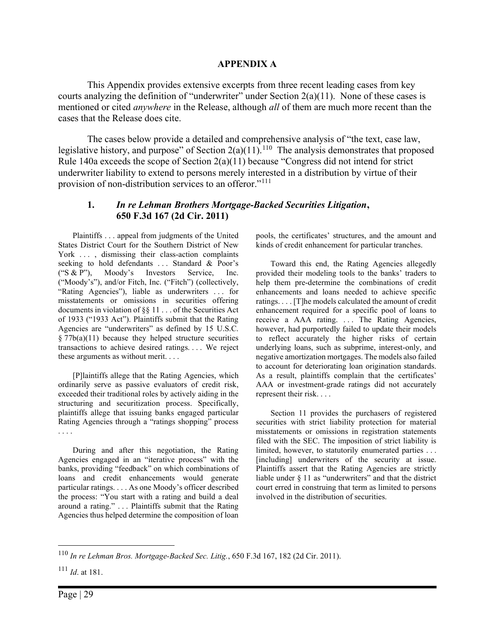#### APPENDIX A

This Appendix provides extensive excerpts from three recent leading cases from key courts analyzing the definition of "underwriter" under Section  $2(a)(11)$ . None of these cases is mentioned or cited *anywhere* in the Release, although *all* of them are much more recent than the cases that the Release does cite.

The cases below provide a detailed and comprehensive analysis of "the text, case law, legislative history, and purpose" of Section  $2(a)(11)$ .<sup>110</sup> The analysis demonstrates that proposed Rule 140a exceeds the scope of Section 2(a)(11) because "Congress did not intend for strict underwriter liability to extend to persons merely interested in a distribution by virtue of their provision of non-distribution services to an offeror."<sup>111</sup>

#### 1. In re Lehman Brothers Mortgage-Backed Securities Litigation, 650 F.3d 167 (2d Cir. 2011)

Plaintiffs . . . appeal from judgments of the United States District Court for the Southern District of New York ..., dismissing their class-action complaints seeking to hold defendants ... Standard & Poor's ("S & P"), Moody's Investors Service, Inc. ("Moody's"), and/or Fitch, Inc. ("Fitch") (collectively, "Rating Agencies"), liable as underwriters . . . for misstatements or omissions in securities offering documents in violation of §§ 11 . . . of the Securities Act of 1933 ("1933 Act"). Plaintiffs submit that the Rating Agencies are "underwriters" as defined by 15 U.S.C.  $§ 77b(a)(11)$  because they helped structure securities transactions to achieve desired ratings. . . . We reject these arguments as without merit. . . .

[P]laintiffs allege that the Rating Agencies, which ordinarily serve as passive evaluators of credit risk, exceeded their traditional roles by actively aiding in the structuring and securitization process. Specifically, plaintiffs allege that issuing banks engaged particular Rating Agencies through a "ratings shopping" process . . . .

During and after this negotiation, the Rating Agencies engaged in an "iterative process" with the banks, providing "feedback" on which combinations of loans and credit enhancements would generate particular ratings. . . . As one Moody's officer described the process: "You start with a rating and build a deal around a rating." . . . Plaintiffs submit that the Rating Agencies thus helped determine the composition of loan pools, the certificates' structures, and the amount and kinds of credit enhancement for particular tranches.

Toward this end, the Rating Agencies allegedly provided their modeling tools to the banks' traders to help them pre-determine the combinations of credit enhancements and loans needed to achieve specific ratings. . . . [T]he models calculated the amount of credit enhancement required for a specific pool of loans to receive a AAA rating. . . . The Rating Agencies, however, had purportedly failed to update their models to reflect accurately the higher risks of certain underlying loans, such as subprime, interest-only, and negative amortization mortgages. The models also failed to account for deteriorating loan origination standards. As a result, plaintiffs complain that the certificates' AAA or investment-grade ratings did not accurately represent their risk. . . .

Section 11 provides the purchasers of registered securities with strict liability protection for material misstatements or omissions in registration statements filed with the SEC. The imposition of strict liability is limited, however, to statutorily enumerated parties . . . [including] underwriters of the security at issue. Plaintiffs assert that the Rating Agencies are strictly liable under § 11 as "underwriters" and that the district court erred in construing that term as limited to persons involved in the distribution of securities.

<sup>110</sup> In re Lehman Bros. Mortgage-Backed Sec. Litig., 650 F.3d 167, 182 (2d Cir. 2011).

 $^{111}$  *Id.* at 181.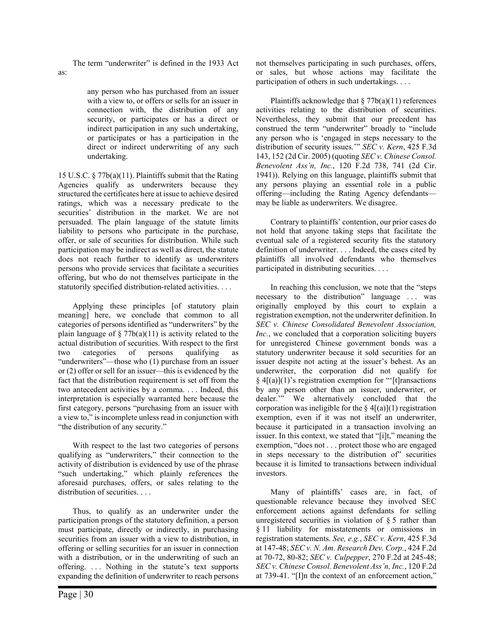The term "underwriter" is defined in the 1933 Act

as:

any person who has purchased from an issuer with a view to, or offers or sells for an issuer in connection with, the distribution of any security, or participates or has a direct or indirect participation in any such undertaking, or participates or has a participation in the direct or indirect underwriting of any such undertaking.

15 U.S.C. § 77b(a)(11). Plaintiffs submit that the Rating Agencies qualify as underwriters because they structured the certificates here at issue to achieve desired ratings, which was a necessary predicate to the securities' distribution in the market. We are not persuaded. The plain language of the statute limits liability to persons who participate in the purchase, offer, or sale of securities for distribution. While such participation may be indirect as well as direct, the statute does not reach further to identify as underwriters persons who provide services that facilitate a securities offering, but who do not themselves participate in the statutorily specified distribution-related activities. . . .

Applying these principles [of statutory plain meaning] here, we conclude that common to all categories of persons identified as "underwriters" by the plain language of  $\S 77b(a)(11)$  is activity related to the actual distribution of securities. With respect to the first two categories of persons qualifying as "underwriters"—those who (1) purchase from an issuer or (2) offer or sell for an issuer—this is evidenced by the fact that the distribution requirement is set off from the two antecedent activities by a comma. . . . Indeed, this interpretation is especially warranted here because the first category, persons "purchasing from an issuer with a view to," is incomplete unless read in conjunction with "the distribution of any security."

With respect to the last two categories of persons qualifying as "underwriters," their connection to the activity of distribution is evidenced by use of the phrase "such undertaking," which plainly references the aforesaid purchases, offers, or sales relating to the distribution of securities. . . .

Thus, to qualify as an underwriter under the participation prongs of the statutory definition, a person must participate, directly or indirectly, in purchasing securities from an issuer with a view to distribution, in offering or selling securities for an issuer in connection with a distribution, or in the underwriting of such an offering. . . . Nothing in the statute's text supports expanding the definition of underwriter to reach persons

not themselves participating in such purchases, offers, or sales, but whose actions may facilitate the participation of others in such undertakings. . . .

Plaintiffs acknowledge that  $\S 77b(a)(11)$  references activities relating to the distribution of securities. Nevertheless, they submit that our precedent has construed the term "underwriter" broadly to "include any person who is 'engaged in steps necessary to the distribution of security issues.'" SEC v. Kern, 425 F.3d 143, 152 (2d Cir. 2005) (quoting SEC v. Chinese Consol. Benevolent Ass'n, Inc., 120 F.2d 738, 741 (2d Cir. 1941)). Relying on this language, plaintiffs submit that any persons playing an essential role in a public offering—including the Rating Agency defendants may be liable as underwriters. We disagree.

Contrary to plaintiffs' contention, our prior cases do not hold that anyone taking steps that facilitate the eventual sale of a registered security fits the statutory definition of underwriter. . . . Indeed, the cases cited by plaintiffs all involved defendants who themselves participated in distributing securities. . . .

In reaching this conclusion, we note that the "steps necessary to the distribution" language . . . was originally employed by this court to explain a registration exemption, not the underwriter definition. In SEC v. Chinese Consolidated Benevolent Association, Inc., we concluded that a corporation soliciting buyers for unregistered Chinese government bonds was a statutory underwriter because it sold securities for an issuer despite not acting at the issuer's behest. As an underwriter, the corporation did not qualify for § 4[(a)](1)'s registration exemption for "'[t]ransactions by any person other than an issuer, underwriter, or dealer.'" We alternatively concluded that the corporation was ineligible for the  $\S 4[(a)](1)$  registration exemption, even if it was not itself an underwriter, because it participated in a transaction involving an issuer. In this context, we stated that "[i]t," meaning the exemption, "does not . . . protect those who are engaged in steps necessary to the distribution of securities because it is limited to transactions between individual investors.

Many of plaintiffs' cases are, in fact, of questionable relevance because they involved SEC enforcement actions against defendants for selling unregistered securities in violation of § 5 rather than § 11 liability for misstatements or omissions in registration statements. See, e.g., SEC v. Kern, 425 F.3d at 147-48; SEC v. N. Am. Research Dev. Corp., 424 F.2d at 70-72, 80-82; SEC v. Culpepper, 270 F.2d at 245-48; SEC v. Chinese Consol. Benevolent Ass'n, Inc., 120 F.2d at 739-41. "[I]n the context of an enforcement action,"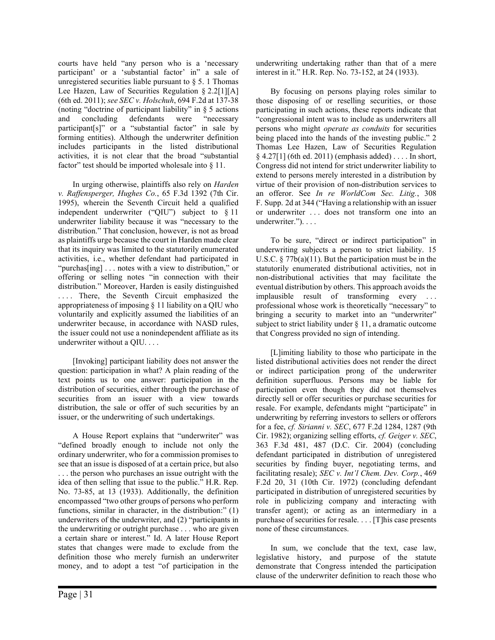courts have held "any person who is a 'necessary participant' or a 'substantial factor' in" a sale of unregistered securities liable pursuant to  $\S$  5. 1 Thomas Lee Hazen, Law of Securities Regulation § 2.2[1][A] (6th ed. 2011); see SEC v. Holschuh, 694 F.2d at 137-38 (noting "doctrine of participant liability" in § 5 actions and concluding defendants were "necessary participant[s]" or a "substantial factor" in sale by forming entities). Although the underwriter definition includes participants in the listed distributional activities, it is not clear that the broad "substantial factor" test should be imported wholesale into § 11.

In urging otherwise, plaintiffs also rely on Harden v. Raffensperger, Hughes Co., 65 F.3d 1392 (7th Cir. 1995), wherein the Seventh Circuit held a qualified independent underwriter ("QIU") subject to § 11 underwriter liability because it was "necessary to the distribution." That conclusion, however, is not as broad as plaintiffs urge because the court in Harden made clear that its inquiry was limited to the statutorily enumerated activities, i.e., whether defendant had participated in "purchas[ing] . . . notes with a view to distribution," or offering or selling notes "in connection with their distribution." Moreover, Harden is easily distinguished .... There, the Seventh Circuit emphasized the appropriateness of imposing § 11 liability on a QIU who voluntarily and explicitly assumed the liabilities of an underwriter because, in accordance with NASD rules, the issuer could not use a nonindependent affiliate as its underwriter without a QIU. . . .

[Invoking] participant liability does not answer the question: participation in what? A plain reading of the text points us to one answer: participation in the distribution of securities, either through the purchase of securities from an issuer with a view towards distribution, the sale or offer of such securities by an issuer, or the underwriting of such undertakings.

A House Report explains that "underwriter" was "defined broadly enough to include not only the ordinary underwriter, who for a commission promises to see that an issue is disposed of at a certain price, but also . . . the person who purchases an issue outright with the idea of then selling that issue to the public." H.R. Rep. No. 73-85, at 13 (1933). Additionally, the definition encompassed "two other groups of persons who perform functions, similar in character, in the distribution:" (1) underwriters of the underwriter, and (2) "participants in the underwriting or outright purchase . . . who are given a certain share or interest." Id. A later House Report states that changes were made to exclude from the definition those who merely furnish an underwriter money, and to adopt a test "of participation in the

underwriting undertaking rather than that of a mere interest in it." H.R. Rep. No. 73-152, at 24 (1933).

By focusing on persons playing roles similar to those disposing of or reselling securities, or those participating in such actions, these reports indicate that "congressional intent was to include as underwriters all persons who might operate as conduits for securities being placed into the hands of the investing public." 2 Thomas Lee Hazen, Law of Securities Regulation § 4.27[1] (6th ed. 2011) (emphasis added) . . . . In short, Congress did not intend for strict underwriter liability to extend to persons merely interested in a distribution by virtue of their provision of non-distribution services to an offeror. See In re WorldCom Sec. Litig., 308 F. Supp. 2d at 344 ("Having a relationship with an issuer or underwriter . . . does not transform one into an underwriter."). . . .

To be sure, "direct or indirect participation" in underwriting subjects a person to strict liability. 15 U.S.C.  $\S 77b(a)(11)$ . But the participation must be in the statutorily enumerated distributional activities, not in non-distributional activities that may facilitate the eventual distribution by others. This approach avoids the implausible result of transforming every . . . professional whose work is theoretically "necessary" to bringing a security to market into an "underwriter" subject to strict liability under  $\S$  11, a dramatic outcome that Congress provided no sign of intending.

[L]imiting liability to those who participate in the listed distributional activities does not render the direct or indirect participation prong of the underwriter definition superfluous. Persons may be liable for participation even though they did not themselves directly sell or offer securities or purchase securities for resale. For example, defendants might "participate" in underwriting by referring investors to sellers or offerors for a fee, cf. Sirianni v. SEC, 677 F.2d 1284, 1287 (9th Cir. 1982); organizing selling efforts, cf. Geiger v. SEC, 363 F.3d 481, 487 (D.C. Cir. 2004) (concluding defendant participated in distribution of unregistered securities by finding buyer, negotiating terms, and facilitating resale); SEC v. Int'l Chem. Dev. Corp., 469 F.2d 20, 31 (10th Cir. 1972) (concluding defendant participated in distribution of unregistered securities by role in publicizing company and interacting with transfer agent); or acting as an intermediary in a purchase of securities for resale. . . . [T]his case presents none of these circumstances.

In sum, we conclude that the text, case law, legislative history, and purpose of the statute demonstrate that Congress intended the participation clause of the underwriter definition to reach those who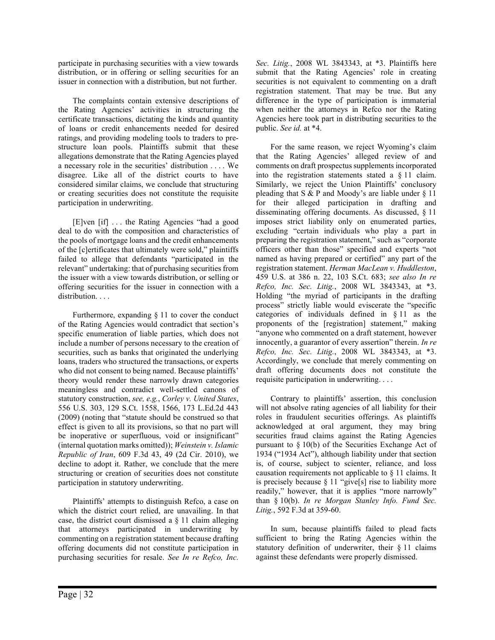participate in purchasing securities with a view towards distribution, or in offering or selling securities for an issuer in connection with a distribution, but not further.

The complaints contain extensive descriptions of the Rating Agencies' activities in structuring the certificate transactions, dictating the kinds and quantity of loans or credit enhancements needed for desired ratings, and providing modeling tools to traders to prestructure loan pools. Plaintiffs submit that these allegations demonstrate that the Rating Agencies played a necessary role in the securities' distribution . . . . We disagree. Like all of the district courts to have considered similar claims, we conclude that structuring or creating securities does not constitute the requisite participation in underwriting.

[E]ven [if] . . . the Rating Agencies "had a good deal to do with the composition and characteristics of the pools of mortgage loans and the credit enhancements of the [c]ertificates that ultimately were sold," plaintiffs failed to allege that defendants "participated in the relevant" undertaking: that of purchasing securities from the issuer with a view towards distribution, or selling or offering securities for the issuer in connection with a distribution. . . .

Furthermore, expanding § 11 to cover the conduct of the Rating Agencies would contradict that section's specific enumeration of liable parties, which does not include a number of persons necessary to the creation of securities, such as banks that originated the underlying loans, traders who structured the transactions, or experts who did not consent to being named. Because plaintiffs' theory would render these narrowly drawn categories meaningless and contradict well-settled canons of statutory construction, see, e.g., Corley v. United States, 556 U.S. 303, 129 S.Ct. 1558, 1566, 173 L.Ed.2d 443 (2009) (noting that "statute should be construed so that effect is given to all its provisions, so that no part will be inoperative or superfluous, void or insignificant" (internal quotation marks omitted)); Weinstein v. Islamic Republic of Iran, 609 F.3d 43, 49 (2d Cir. 2010), we decline to adopt it. Rather, we conclude that the mere structuring or creation of securities does not constitute participation in statutory underwriting.

Plaintiffs' attempts to distinguish Refco, a case on which the district court relied, are unavailing. In that case, the district court dismissed a § 11 claim alleging that attorneys participated in underwriting by commenting on a registration statement because drafting offering documents did not constitute participation in purchasing securities for resale. See In re Refco, Inc.

Sec. Litig., 2008 WL 3843343, at \*3. Plaintiffs here submit that the Rating Agencies' role in creating securities is not equivalent to commenting on a draft registration statement. That may be true. But any difference in the type of participation is immaterial when neither the attorneys in Refco nor the Rating Agencies here took part in distributing securities to the public. See id. at \*4.

For the same reason, we reject Wyoming's claim that the Rating Agencies' alleged review of and comments on draft prospectus supplements incorporated into the registration statements stated a § 11 claim. Similarly, we reject the Union Plaintiffs' conclusory pleading that  $S & P$  and Moody's are liable under  $\S 11$ for their alleged participation in drafting and disseminating offering documents. As discussed, § 11 imposes strict liability only on enumerated parties, excluding "certain individuals who play a part in preparing the registration statement," such as "corporate officers other than those" specified and experts "not named as having prepared or certified" any part of the registration statement. Herman MacLean v. Huddleston, 459 U.S. at 386 n. 22, 103 S.Ct. 683; see also In re Refco, Inc. Sec. Litig., 2008 WL 3843343, at \*3. Holding "the myriad of participants in the drafting process" strictly liable would eviscerate the "specific categories of individuals defined in § 11 as the proponents of the [registration] statement," making "anyone who commented on a draft statement, however innocently, a guarantor of every assertion" therein. In re Refco, Inc. Sec. Litig., 2008 WL 3843343, at \*3. Accordingly, we conclude that merely commenting on draft offering documents does not constitute the requisite participation in underwriting. . . .

Contrary to plaintiffs' assertion, this conclusion will not absolve rating agencies of all liability for their roles in fraudulent securities offerings. As plaintiffs acknowledged at oral argument, they may bring securities fraud claims against the Rating Agencies pursuant to § 10(b) of the Securities Exchange Act of 1934 ("1934 Act"), although liability under that section is, of course, subject to scienter, reliance, and loss causation requirements not applicable to § 11 claims. It is precisely because § 11 "give[s] rise to liability more readily," however, that it is applies "more narrowly" than § 10(b). In re Morgan Stanley Info. Fund Sec. Litig., 592 F.3d at 359-60.

In sum, because plaintiffs failed to plead facts sufficient to bring the Rating Agencies within the statutory definition of underwriter, their § 11 claims against these defendants were properly dismissed.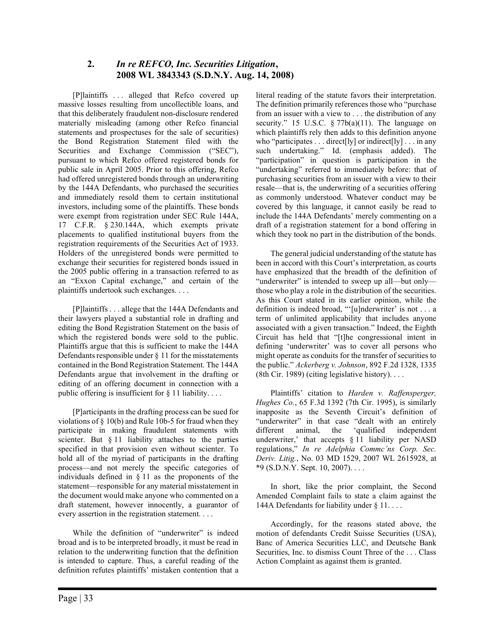#### 2. In re REFCO, Inc. Securities Litigation, 2008 WL 3843343 (S.D.N.Y. Aug. 14, 2008)

[P]laintiffs ... alleged that Refco covered up massive losses resulting from uncollectible loans, and that this deliberately fraudulent non-disclosure rendered materially misleading (among other Refco financial statements and prospectuses for the sale of securities) the Bond Registration Statement filed with the Securities and Exchange Commission ("SEC"), pursuant to which Refco offered registered bonds for public sale in April 2005. Prior to this offering, Refco had offered unregistered bonds through an underwriting by the 144A Defendants, who purchased the securities and immediately resold them to certain institutional investors, including some of the plaintiffs. These bonds were exempt from registration under SEC Rule 144A, 17 C.F.R. § 230.144A, which exempts private placements to qualified institutional buyers from the registration requirements of the Securities Act of 1933. Holders of the unregistered bonds were permitted to exchange their securities for registered bonds issued in the 2005 public offering in a transaction referred to as an "Exxon Capital exchange," and certain of the plaintiffs undertook such exchanges. . . .

[P]laintiffs . . . allege that the 144A Defendants and their lawyers played a substantial role in drafting and editing the Bond Registration Statement on the basis of which the registered bonds were sold to the public. Plaintiffs argue that this is sufficient to make the 144A Defendants responsible under § 11 for the misstatements contained in the Bond Registration Statement. The 144A Defendants argue that involvement in the drafting or editing of an offering document in connection with a public offering is insufficient for  $\S$  11 liability....

[P]articipants in the drafting process can be sued for violations of § 10(b) and Rule 10b-5 for fraud when they participate in making fraudulent statements with scienter. But § 11 liability attaches to the parties specified in that provision even without scienter. To hold all of the myriad of participants in the drafting process—and not merely the specific categories of individuals defined in § 11 as the proponents of the statement—responsible for any material misstatement in the document would make anyone who commented on a draft statement, however innocently, a guarantor of every assertion in the registration statement. . . .

While the definition of "underwriter" is indeed broad and is to be interpreted broadly, it must be read in relation to the underwriting function that the definition is intended to capture. Thus, a careful reading of the definition refutes plaintiffs' mistaken contention that a literal reading of the statute favors their interpretation. The definition primarily references those who "purchase from an issuer with a view to . . . the distribution of any security." 15 U.S.C.  $\S 77b(a)(11)$ . The language on which plaintiffs rely then adds to this definition anyone who "participates  $\dots$  direct[ly] or indirect[ly]  $\dots$  in any such undertaking." Id. (emphasis added). The "participation" in question is participation in the "undertaking" referred to immediately before: that of purchasing securities from an issuer with a view to their resale—that is, the underwriting of a securities offering as commonly understood. Whatever conduct may be covered by this language, it cannot easily be read to include the 144A Defendants' merely commenting on a draft of a registration statement for a bond offering in which they took no part in the distribution of the bonds.

The general judicial understanding of the statute has been in accord with this Court's interpretation, as courts have emphasized that the breadth of the definition of "underwriter" is intended to sweep up all—but only those who play a role in the distribution of the securities. As this Court stated in its earlier opinion, while the definition is indeed broad, "'[u]nderwriter' is not . . . a term of unlimited applicability that includes anyone associated with a given transaction." Indeed, the Eighth Circuit has held that "[t]he congressional intent in defining 'underwriter' was to cover all persons who might operate as conduits for the transfer of securities to the public." Ackerberg v. Johnson, 892 F.2d 1328, 1335 (8th Cir. 1989) (citing legislative history). . . .

Plaintiffs' citation to Harden v. Raffensperger, Hughes Co., 65 F.3d 1392 (7th Cir. 1995), is similarly inapposite as the Seventh Circuit's definition of "underwriter" in that case "dealt with an entirely different animal, the 'qualified independent underwriter,' that accepts § 11 liability per NASD regulations," In re Adelphia Commc'ns Corp. Sec. Deriv. Litig., No. 03 MD 1529, 2007 WL 2615928, at  $*9$  (S.D.N.Y. Sept. 10, 2007)...

In short, like the prior complaint, the Second Amended Complaint fails to state a claim against the 144A Defendants for liability under § 11. . . .

Accordingly, for the reasons stated above, the motion of defendants Credit Suisse Securities (USA), Banc of America Securities LLC, and Deutsche Bank Securities, Inc. to dismiss Count Three of the . . . Class Action Complaint as against them is granted.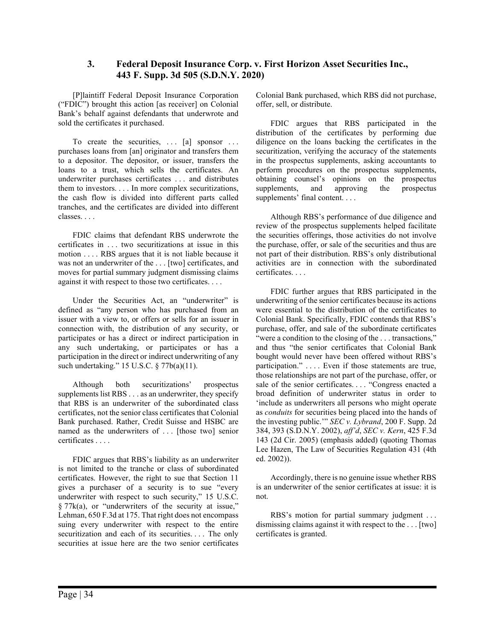#### 3. Federal Deposit Insurance Corp. v. First Horizon Asset Securities Inc., 443 F. Supp. 3d 505 (S.D.N.Y. 2020)

[P]laintiff Federal Deposit Insurance Corporation ("FDIC") brought this action [as receiver] on Colonial Bank's behalf against defendants that underwrote and sold the certificates it purchased.

To create the securities,  $\ldots$  [a] sponsor  $\ldots$ purchases loans from [an] originator and transfers them to a depositor. The depositor, or issuer, transfers the loans to a trust, which sells the certificates. An underwriter purchases certificates . . . and distributes them to investors. . . . In more complex securitizations, the cash flow is divided into different parts called tranches, and the certificates are divided into different classes. . . .

FDIC claims that defendant RBS underwrote the certificates in . . . two securitizations at issue in this motion . . . . RBS argues that it is not liable because it was not an underwriter of the . . . [two] certificates, and moves for partial summary judgment dismissing claims against it with respect to those two certificates. . . .

Under the Securities Act, an "underwriter" is defined as "any person who has purchased from an issuer with a view to, or offers or sells for an issuer in connection with, the distribution of any security, or participates or has a direct or indirect participation in any such undertaking, or participates or has a participation in the direct or indirect underwriting of any such undertaking." 15 U.S.C. § 77b(a)(11).

Although both securitizations' prospectus supplements list RBS . . . as an underwriter, they specify that RBS is an underwriter of the subordinated class certificates, not the senior class certificates that Colonial Bank purchased. Rather, Credit Suisse and HSBC are named as the underwriters of ... [those two] senior certificates . . . .

FDIC argues that RBS's liability as an underwriter is not limited to the tranche or class of subordinated certificates. However, the right to sue that Section 11 gives a purchaser of a security is to sue "every underwriter with respect to such security," 15 U.S.C. § 77k(a), or "underwriters of the security at issue," Lehman, 650 F.3d at 175. That right does not encompass suing every underwriter with respect to the entire securitization and each of its securities. . . . The only securities at issue here are the two senior certificates Colonial Bank purchased, which RBS did not purchase, offer, sell, or distribute.

FDIC argues that RBS participated in the distribution of the certificates by performing due diligence on the loans backing the certificates in the securitization, verifying the accuracy of the statements in the prospectus supplements, asking accountants to perform procedures on the prospectus supplements, obtaining counsel's opinions on the prospectus supplements, and approving the prospectus supplements' final content. . . .

Although RBS's performance of due diligence and review of the prospectus supplements helped facilitate the securities offerings, those activities do not involve the purchase, offer, or sale of the securities and thus are not part of their distribution. RBS's only distributional activities are in connection with the subordinated certificates. . . .

FDIC further argues that RBS participated in the underwriting of the senior certificates because its actions were essential to the distribution of the certificates to Colonial Bank. Specifically, FDIC contends that RBS's purchase, offer, and sale of the subordinate certificates "were a condition to the closing of the ... transactions," and thus "the senior certificates that Colonial Bank bought would never have been offered without RBS's participation." . . . . Even if those statements are true, those relationships are not part of the purchase, offer, or sale of the senior certificates. . . . "Congress enacted a broad definition of underwriter status in order to 'include as underwriters all persons who might operate as conduits for securities being placed into the hands of the investing public.'" SEC v. Lybrand, 200 F. Supp. 2d 384, 393 (S.D.N.Y. 2002), aff'd, SEC v. Kern, 425 F.3d 143 (2d Cir. 2005) (emphasis added) (quoting Thomas Lee Hazen, The Law of Securities Regulation 431 (4th ed. 2002)).

Accordingly, there is no genuine issue whether RBS is an underwriter of the senior certificates at issue: it is not.

RBS's motion for partial summary judgment . . . dismissing claims against it with respect to the . . . [two] certificates is granted.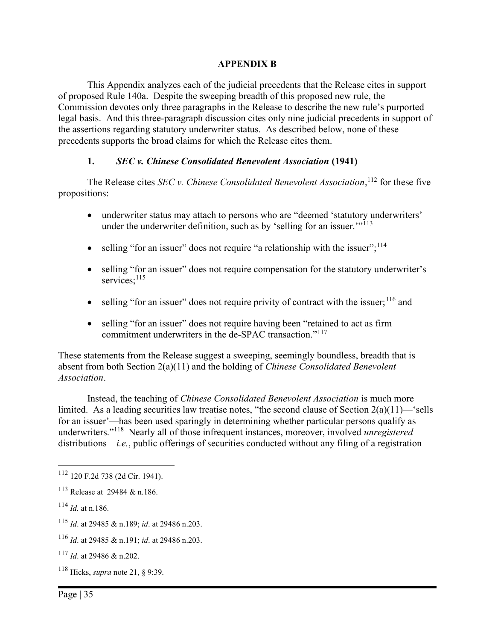#### APPENDIX B

This Appendix analyzes each of the judicial precedents that the Release cites in support of proposed Rule 140a. Despite the sweeping breadth of this proposed new rule, the Commission devotes only three paragraphs in the Release to describe the new rule's purported legal basis. And this three-paragraph discussion cites only nine judicial precedents in support of the assertions regarding statutory underwriter status. As described below, none of these precedents supports the broad claims for which the Release cites them.

#### 1. SEC v. Chinese Consolidated Benevolent Association (1941)

The Release cites *SEC* v. *Chinese Consolidated Benevolent Association*,  $^{112}$  for these five propositions:

- underwriter status may attach to persons who are "deemed 'statutory underwriters' under the underwriter definition, such as by 'selling for an issuer. $\cdot$ <sup>113</sup>
- $\bullet$  selling "for an issuer" does not require "a relationship with the issuer";<sup>114</sup>
- selling "for an issuer" does not require compensation for the statutory underwriter's services;<sup>115</sup>
- $\bullet$  selling "for an issuer" does not require privity of contract with the issuer;  $116$  and
- selling "for an issuer" does not require having been "retained to act as firm commitment underwriters in the de-SPAC transaction."<sup>117</sup>

These statements from the Release suggest a sweeping, seemingly boundless, breadth that is absent from both Section 2(a)(11) and the holding of Chinese Consolidated Benevolent Association.

Instead, the teaching of Chinese Consolidated Benevolent Association is much more limited. As a leading securities law treatise notes, "the second clause of Section 2(a)(11)—'sells for an issuer'—has been used sparingly in determining whether particular persons qualify as underwriters."<sup>118</sup> Nearly all of those infrequent instances, moreover, involved *unregistered* distributions—*i.e.*, public offerings of securities conducted without any filing of a registration

- <sup>115</sup> Id. at 29485 & n.189; id. at 29486 n.203.
- <sup>116</sup> *Id.* at 29485 & n.191; *id.* at 29486 n.203.

 $118$  Hicks, *supra* note 21, § 9:39.

<sup>112</sup> 120 F.2d 738 (2d Cir. 1941).

<sup>113</sup> Release at 29484 & n.186.

 $^{114}$  *Id.* at n.186.

<sup>117</sup> Id. at 29486 & n.202.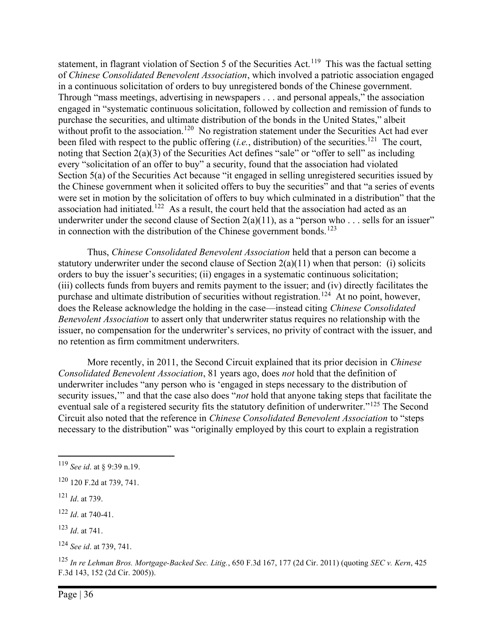statement, in flagrant violation of Section 5 of the Securities Act.<sup>119</sup> This was the factual setting of Chinese Consolidated Benevolent Association, which involved a patriotic association engaged in a continuous solicitation of orders to buy unregistered bonds of the Chinese government. Through "mass meetings, advertising in newspapers . . . and personal appeals," the association engaged in "systematic continuous solicitation, followed by collection and remission of funds to purchase the securities, and ultimate distribution of the bonds in the United States," albeit without profit to the association.<sup>120</sup> No registration statement under the Securities Act had ever been filed with respect to the public offering (*i.e.*, distribution) of the securities.<sup>121</sup> The court, noting that Section 2(a)(3) of the Securities Act defines "sale" or "offer to sell" as including every "solicitation of an offer to buy" a security, found that the association had violated Section 5(a) of the Securities Act because "it engaged in selling unregistered securities issued by the Chinese government when it solicited offers to buy the securities" and that "a series of events were set in motion by the solicitation of offers to buy which culminated in a distribution" that the association had initiated.<sup>122</sup> As a result, the court held that the association had acted as an underwriter under the second clause of Section  $2(a)(11)$ , as a "person who ... sells for an issuer" in connection with the distribution of the Chinese government bonds.<sup>123</sup>

Thus, Chinese Consolidated Benevolent Association held that a person can become a statutory underwriter under the second clause of Section  $2(a)(11)$  when that person: (i) solicits orders to buy the issuer's securities; (ii) engages in a systematic continuous solicitation; (iii) collects funds from buyers and remits payment to the issuer; and (iv) directly facilitates the purchase and ultimate distribution of securities without registration.<sup>124</sup> At no point, however, does the Release acknowledge the holding in the case—instead citing Chinese Consolidated Benevolent Association to assert only that underwriter status requires no relationship with the issuer, no compensation for the underwriter's services, no privity of contract with the issuer, and no retention as firm commitment underwriters.

More recently, in 2011, the Second Circuit explained that its prior decision in *Chinese* Consolidated Benevolent Association, 81 years ago, does not hold that the definition of underwriter includes "any person who is 'engaged in steps necessary to the distribution of security issues," and that the case also does "*not* hold that anyone taking steps that facilitate the eventual sale of a registered security fits the statutory definition of underwriter."<sup>125</sup> The Second Circuit also noted that the reference in Chinese Consolidated Benevolent Association to "steps necessary to the distribution" was "originally employed by this court to explain a registration

<sup>119</sup> See id. at § 9:39 n.19.

<sup>120</sup> 120 F.2d at 739, 741.

 $121$  *Id.* at 739.

 $122$  *Id.* at 740-41.

 $123$  *Id.* at 741.

 $124$  See id. at 739, 741.

<sup>125</sup> In re Lehman Bros. Mortgage-Backed Sec. Litig., 650 F.3d 167, 177 (2d Cir. 2011) (quoting SEC v. Kern, 425 F.3d 143, 152 (2d Cir. 2005)).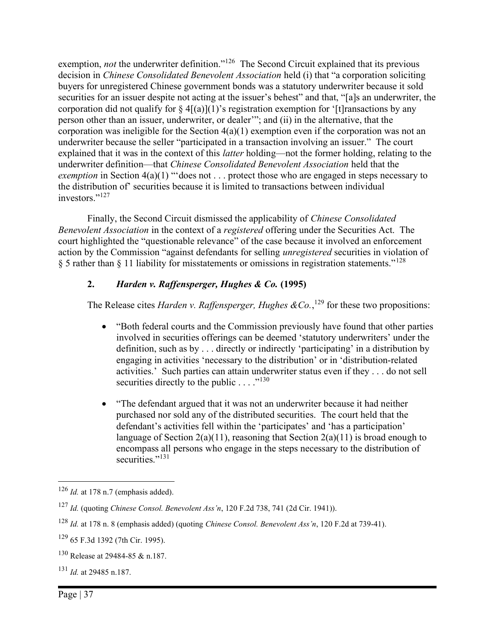exemption, not the underwriter definition."<sup>126</sup> The Second Circuit explained that its previous decision in Chinese Consolidated Benevolent Association held (i) that "a corporation soliciting buyers for unregistered Chinese government bonds was a statutory underwriter because it sold securities for an issuer despite not acting at the issuer's behest" and that, "[a]s an underwriter, the corporation did not qualify for  $\S 4[(a)](1)$ 's registration exemption for '[t] ransactions by any person other than an issuer, underwriter, or dealer'"; and (ii) in the alternative, that the corporation was ineligible for the Section 4(a)(1) exemption even if the corporation was not an underwriter because the seller "participated in a transaction involving an issuer." The court explained that it was in the context of this latter holding—not the former holding, relating to the underwriter definition—that Chinese Consolidated Benevolent Association held that the exemption in Section  $4(a)(1)$  "does not ... protect those who are engaged in steps necessary to the distribution of' securities because it is limited to transactions between individual investors."<sup>127</sup>

Finally, the Second Circuit dismissed the applicability of Chinese Consolidated Benevolent Association in the context of a registered offering under the Securities Act. The court highlighted the "questionable relevance" of the case because it involved an enforcement action by the Commission "against defendants for selling unregistered securities in violation of § 5 rather than § 11 liability for misstatements or omissions in registration statements."<sup>128</sup>

## 2. Harden v. Raffensperger, Hughes & Co. (1995)

The Release cites *Harden v. Raffensperger, Hughes & Co.*,<sup>129</sup> for these two propositions:

- "Both federal courts and the Commission previously have found that other parties involved in securities offerings can be deemed 'statutory underwriters' under the definition, such as by . . . directly or indirectly 'participating' in a distribution by engaging in activities 'necessary to the distribution' or in 'distribution-related activities.' Such parties can attain underwriter status even if they . . . do not sell securities directly to the public  $\dots$ ."<sup>130</sup>
- "The defendant argued that it was not an underwriter because it had neither purchased nor sold any of the distributed securities. The court held that the defendant's activities fell within the 'participates' and 'has a participation' language of Section 2(a)(11), reasoning that Section 2(a)(11) is broad enough to encompass all persons who engage in the steps necessary to the distribution of securities."<sup>131</sup>

 $126$  *Id.* at 178 n.7 (emphasis added).

<sup>127</sup> Id. (quoting Chinese Consol. Benevolent Ass'n, 120 F.2d 738, 741 (2d Cir. 1941)).

<sup>128</sup> Id. at 178 n. 8 (emphasis added) (quoting Chinese Consol. Benevolent Ass'n, 120 F.2d at 739-41).

<sup>129</sup> 65 F.3d 1392 (7th Cir. 1995).

<sup>130</sup> Release at 29484-85 & n.187.

 $131$  *Id.* at 29485 n.187.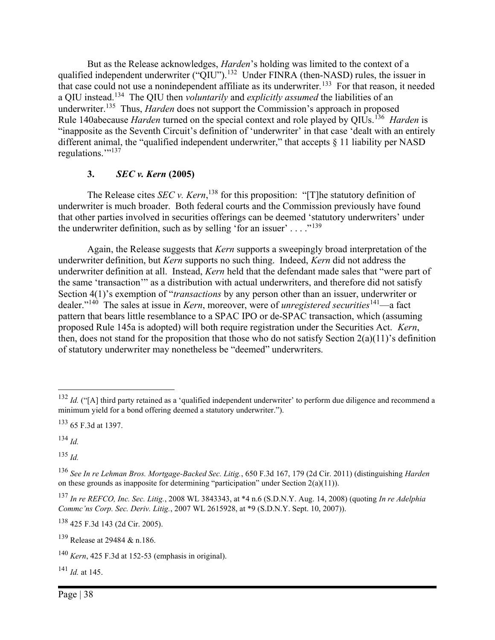But as the Release acknowledges, Harden's holding was limited to the context of a qualified independent underwriter (" $\tilde{Q}IU$ ").<sup>132</sup> Under FINRA (then-NASD) rules, the issuer in that case could not use a nonindependent affiliate as its underwriter.<sup>133</sup> For that reason, it needed a QIU instead.<sup>134</sup> The QIU then *voluntarily* and *explicitly assumed* the liabilities of an underwriter.<sup>135</sup> Thus, *Harden* does not support the Commission's approach in proposed Rule 140abecause *Harden* turned on the special context and role played by QIUs.<sup>136</sup> Harden is "inapposite as the Seventh Circuit's definition of 'underwriter' in that case 'dealt with an entirely different animal, the "qualified independent underwriter," that accepts § 11 liability per NASD regulations."<sup>137</sup>

#### 3. SEC v. Kern (2005)

The Release cites *SEC* v. *Kern*,<sup>138</sup> for this proposition: "[T]he statutory definition of underwriter is much broader. Both federal courts and the Commission previously have found that other parties involved in securities offerings can be deemed 'statutory underwriters' under the underwriter definition, such as by selling 'for an issuer'  $\dots$  ."<sup>139</sup>

Again, the Release suggests that Kern supports a sweepingly broad interpretation of the underwriter definition, but Kern supports no such thing. Indeed, Kern did not address the underwriter definition at all. Instead, Kern held that the defendant made sales that "were part of the same 'transaction'" as a distribution with actual underwriters, and therefore did not satisfy Section 4(1)'s exemption of "*transactions* by any person other than an issuer, underwriter or dealer."<sup>140</sup> The sales at issue in *Kern*, moreover, were of *unregistered securities*<sup>141</sup>—a fact pattern that bears little resemblance to a SPAC IPO or de-SPAC transaction, which (assuming proposed Rule 145a is adopted) will both require registration under the Securities Act. Kern, then, does not stand for the proposition that those who do not satisfy Section 2(a)(11)'s definition of statutory underwriter may nonetheless be "deemed" underwriters.

 $134$  *Id.* 

 $135$   $1d$ .

<sup>138</sup> 425 F.3d 143 (2d Cir. 2005).

<sup>139</sup> Release at 29484 & n.186.

 $^{141}$  *Id.* at 145.

 $132$  *Id.* ("[A] third party retained as a 'qualified independent underwriter' to perform due diligence and recommend a minimum yield for a bond offering deemed a statutory underwriter.").

<sup>133</sup> 65 F.3d at 1397.

<sup>136</sup> See In re Lehman Bros. Mortgage-Backed Sec. Litig., 650 F.3d 167, 179 (2d Cir. 2011) (distinguishing Harden on these grounds as inapposite for determining "participation" under Section  $2(a)(11)$ ).

<sup>&</sup>lt;sup>137</sup> In re REFCO, Inc. Sec. Litig., 2008 WL 3843343, at \*4 n.6 (S.D.N.Y. Aug. 14, 2008) (quoting In re Adelphia Commc'ns Corp. Sec. Deriv. Litig., 2007 WL 2615928, at \*9 (S.D.N.Y. Sept. 10, 2007)).

 $140$  Kern, 425 F.3d at 152-53 (emphasis in original).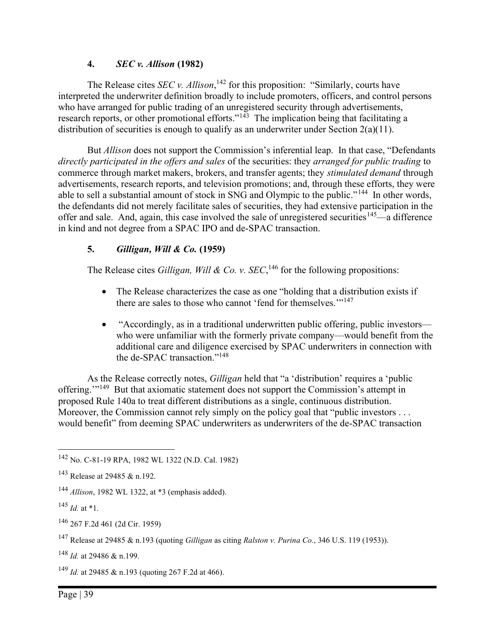## 4. SEC v. Allison (1982)

The Release cites *SEC* v. Allison,<sup>142</sup> for this proposition: "Similarly, courts have interpreted the underwriter definition broadly to include promoters, officers, and control persons who have arranged for public trading of an unregistered security through advertisements, research reports, or other promotional efforts." $14\frac{1}{3}$  The implication being that facilitating a distribution of securities is enough to qualify as an underwriter under Section  $2(a)(11)$ .

But *Allison* does not support the Commission's inferential leap. In that case, "Defendants" directly participated in the offers and sales of the securities: they arranged for public trading to commerce through market makers, brokers, and transfer agents; they stimulated demand through advertisements, research reports, and television promotions; and, through these efforts, they were able to sell a substantial amount of stock in SNG and Olympic to the public."<sup>144</sup> In other words, the defendants did not merely facilitate sales of securities, they had extensive participation in the offer and sale. And, again, this case involved the sale of unregistered securities<sup>145</sup>—a difference in kind and not degree from a SPAC IPO and de-SPAC transaction.

## 5. Gilligan, Will & Co. (1959)

The Release cites *Gilligan, Will & Co. v.* SEC,<sup>146</sup> for the following propositions:

- The Release characterizes the case as one "holding that a distribution exists if there are sales to those who cannot 'fend for themselves.'"<sup>147</sup>
- "Accordingly, as in a traditional underwritten public offering, public investors who were unfamiliar with the formerly private company—would benefit from the additional care and diligence exercised by SPAC underwriters in connection with the de-SPAC transaction."<sup>148</sup>

As the Release correctly notes, Gilligan held that "a 'distribution' requires a 'public offering."<sup>149</sup> But that axiomatic statement does not support the Commission's attempt in proposed Rule 140a to treat different distributions as a single, continuous distribution. Moreover, the Commission cannot rely simply on the policy goal that "public investors . . . would benefit" from deeming SPAC underwriters as underwriters of the de-SPAC transaction

<sup>148</sup> Id. at 29486 & n.199.

<sup>149</sup> *Id.* at 29485 & n.193 (quoting 267 F.2d at 466).

<sup>142</sup> No. C-81-19 RPA, 1982 WL 1322 (N.D. Cal. 1982)

<sup>143</sup> Release at 29485 & n.192.

 $144$  *Allison*, 1982 WL 1322, at \*3 (emphasis added).

 $^{145}$  *Id.* at \*1.

<sup>146</sup> 267 F.2d 461 (2d Cir. 1959)

<sup>&</sup>lt;sup>147</sup> Release at 29485 & n.193 (quoting *Gilligan* as citing *Ralston v. Purina Co.*, 346 U.S. 119 (1953)).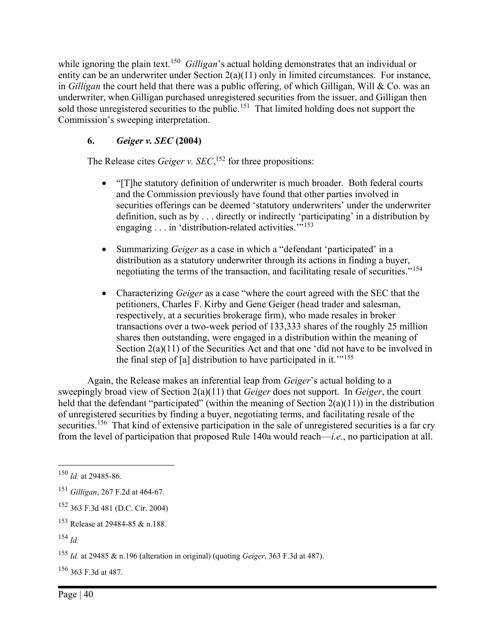while ignoring the plain text.<sup>150</sup> Gilligan's actual holding demonstrates that an individual or entity can be an underwriter under Section 2(a)(11) only in limited circumstances. For instance, in Gilligan the court held that there was a public offering, of which Gilligan, Will & Co. was an underwriter, when Gilligan purchased unregistered securities from the issuer, and Gilligan then sold those unregistered securities to the public.<sup>151</sup> That limited holding does not support the Commission's sweeping interpretation.

# 6. Geiger v. SEC (2004)

The Release cites *Geiger v.*  $SEC.$ <sup>152</sup> for three propositions:

- "[T]he statutory definition of underwriter is much broader. Both federal courts and the Commission previously have found that other parties involved in securities offerings can be deemed 'statutory underwriters' under the underwriter definition, such as by . . . directly or indirectly 'participating' in a distribution by engaging  $\ldots$  in 'distribution-related activities."<sup>153</sup>
- Summarizing Geiger as a case in which a "defendant 'participated' in a distribution as a statutory underwriter through its actions in finding a buyer, negotiating the terms of the transaction, and facilitating resale of securities."<sup>154</sup>
- Characterizing Geiger as a case "where the court agreed with the SEC that the petitioners, Charles F. Kirby and Gene Geiger (head trader and salesman, respectively, at a securities brokerage firm), who made resales in broker transactions over a two-week period of 133,333 shares of the roughly 25 million shares then outstanding, were engaged in a distribution within the meaning of Section 2(a)(11) of the Securities Act and that one 'did not have to be involved in the final step of [a] distribution to have participated in it.<sup> $11.11$ </sup>

Again, the Release makes an inferential leap from Geiger's actual holding to a sweepingly broad view of Section  $2(a)(11)$  that *Geiger* does not support. In *Geiger*, the court held that the defendant "participated" (within the meaning of Section  $2(a)(11)$ ) in the distribution of unregistered securities by finding a buyer, negotiating terms, and facilitating resale of the securities.<sup>156</sup> That kind of extensive participation in the sale of unregistered securities is a far cry from the level of participation that proposed Rule 140a would reach—i.e., no participation at all.

<sup>152</sup> 363 F.3d 481 (D.C. Cir. 2004)

<sup>156</sup> 363 F.3d at 487.

 $150$  *Id.* at 29485-86.

<sup>151</sup> Gilligan, 267 F.2d at 464-67.

<sup>153</sup> Release at 29484-85 & n.188.

<sup>154</sup> Id.

<sup>155</sup> Id. at 29485 & n.196 (alteration in original) (quoting Geiger, 363 F.3d at 487).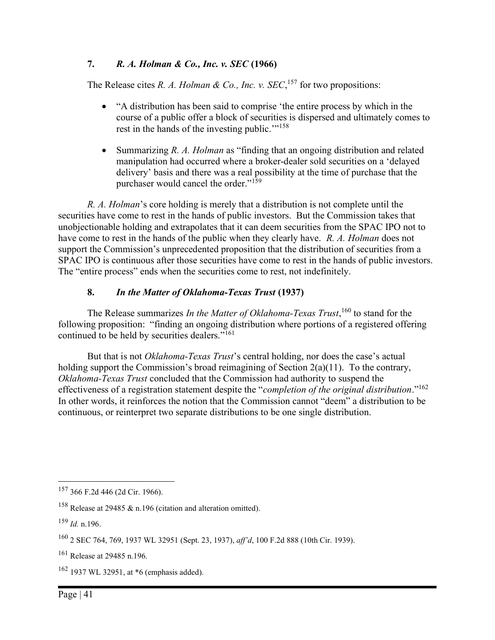## 7. R. A. Holman & Co., Inc. v. SEC (1966)

The Release cites R. A. Holman & Co., Inc. v.  $SEC.$ <sup>157</sup> for two propositions:

- "A distribution has been said to comprise 'the entire process by which in the course of a public offer a block of securities is dispersed and ultimately comes to rest in the hands of the investing public."<sup>158</sup>
- Summarizing R. A. Holman as "finding that an ongoing distribution and related manipulation had occurred where a broker-dealer sold securities on a 'delayed delivery' basis and there was a real possibility at the time of purchase that the purchaser would cancel the order."<sup>159</sup>

R. A. Holman's core holding is merely that a distribution is not complete until the securities have come to rest in the hands of public investors. But the Commission takes that unobjectionable holding and extrapolates that it can deem securities from the SPAC IPO not to have come to rest in the hands of the public when they clearly have. R. A. Holman does not support the Commission's unprecedented proposition that the distribution of securities from a SPAC IPO is continuous after those securities have come to rest in the hands of public investors. The "entire process" ends when the securities come to rest, not indefinitely.

## 8. In the Matter of Oklahoma-Texas Trust (1937)

The Release summarizes In the Matter of Oklahoma-Texas Trust,  $160$  to stand for the following proposition: "finding an ongoing distribution where portions of a registered offering continued to be held by securities dealers."<sup>161</sup>

But that is not *Oklahoma-Texas Trust's* central holding, nor does the case's actual holding support the Commission's broad reimagining of Section 2(a)(11). To the contrary, Oklahoma-Texas Trust concluded that the Commission had authority to suspend the effectiveness of a registration statement despite the "completion of the original distribution."<sup>162</sup> In other words, it reinforces the notion that the Commission cannot "deem" a distribution to be continuous, or reinterpret two separate distributions to be one single distribution.

<sup>162</sup> 1937 WL 32951, at \*6 (emphasis added).

<sup>157</sup> 366 F.2d 446 (2d Cir. 1966).

<sup>158</sup> Release at 29485 & n.196 (citation and alteration omitted).

 $159$  *Id.* n.196.

<sup>160</sup> 2 SEC 764, 769, 1937 WL 32951 (Sept. 23, 1937), aff'd, 100 F.2d 888 (10th Cir. 1939).

<sup>161</sup> Release at 29485 n.196.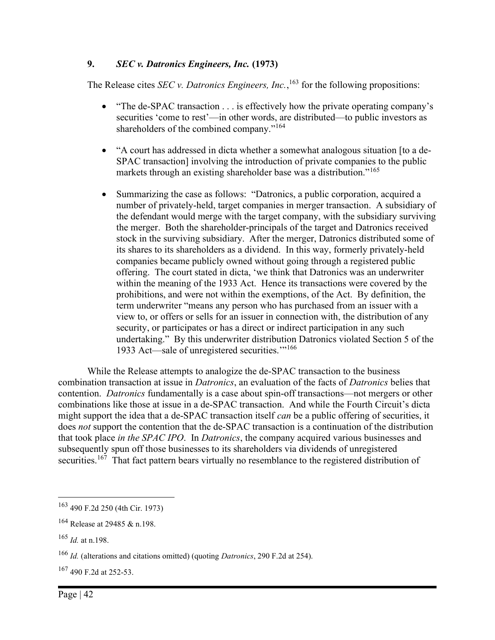## 9. SEC v. Datronics Engineers, Inc. (1973)

The Release cites *SEC* v. *Datronics Engineers*, *Inc.*, <sup>163</sup> for the following propositions:

- "The de-SPAC transaction . . . is effectively how the private operating company's securities 'come to rest'—in other words, are distributed—to public investors as shareholders of the combined company."<sup>164</sup>
- "A court has addressed in dicta whether a somewhat analogous situation [to a de-SPAC transaction] involving the introduction of private companies to the public markets through an existing shareholder base was a distribution."<sup>165</sup>
- Summarizing the case as follows: "Datronics, a public corporation, acquired a number of privately-held, target companies in merger transaction. A subsidiary of the defendant would merge with the target company, with the subsidiary surviving the merger. Both the shareholder-principals of the target and Datronics received stock in the surviving subsidiary. After the merger, Datronics distributed some of its shares to its shareholders as a dividend. In this way, formerly privately-held companies became publicly owned without going through a registered public offering. The court stated in dicta, 'we think that Datronics was an underwriter within the meaning of the 1933 Act. Hence its transactions were covered by the prohibitions, and were not within the exemptions, of the Act. By definition, the term underwriter "means any person who has purchased from an issuer with a view to, or offers or sells for an issuer in connection with, the distribution of any security, or participates or has a direct or indirect participation in any such undertaking." By this underwriter distribution Datronics violated Section 5 of the 1933 Act—sale of unregistered securities."<sup>166</sup>

While the Release attempts to analogize the de-SPAC transaction to the business combination transaction at issue in Datronics, an evaluation of the facts of Datronics belies that contention. Datronics fundamentally is a case about spin-off transactions—not mergers or other combinations like those at issue in a de-SPAC transaction. And while the Fourth Circuit's dicta might support the idea that a de-SPAC transaction itself *can* be a public offering of securities, it does not support the contention that the de-SPAC transaction is a continuation of the distribution that took place in the SPAC IPO. In Datronics, the company acquired various businesses and subsequently spun off those businesses to its shareholders via dividends of unregistered securities.<sup>167</sup> That fact pattern bears virtually no resemblance to the registered distribution of

<sup>167</sup> 490 F.2d at 252-53.

<sup>163</sup> 490 F.2d 250 (4th Cir. 1973)

<sup>&</sup>lt;sup>164</sup> Release at 29485 & n.198.

 $165$  *Id.* at n.198.

 $166$  *Id.* (alterations and citations omitted) (quoting *Datronics*, 290 F.2d at 254).